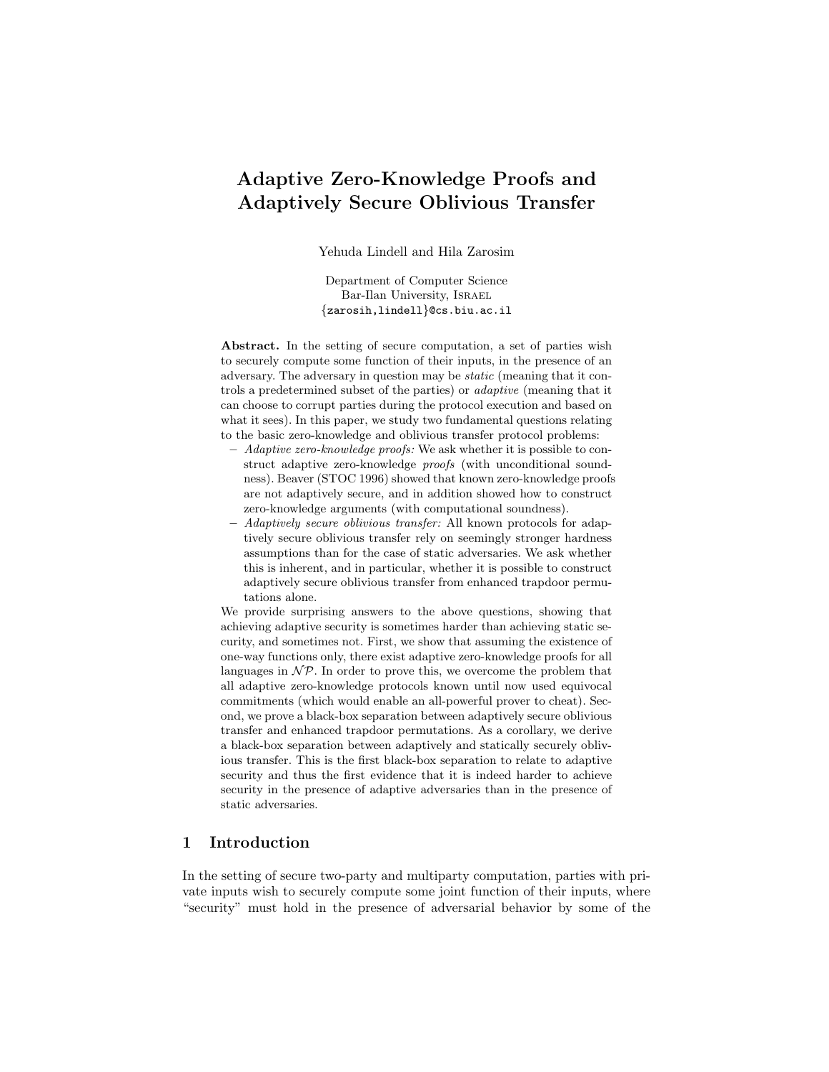# Adaptive Zero-Knowledge Proofs and Adaptively Secure Oblivious Transfer

Yehuda Lindell and Hila Zarosim

Department of Computer Science Bar-Ilan University, ISRAEL {zarosih,lindell}@cs.biu.ac.il

Abstract. In the setting of secure computation, a set of parties wish to securely compute some function of their inputs, in the presence of an adversary. The adversary in question may be static (meaning that it controls a predetermined subset of the parties) or adaptive (meaning that it can choose to corrupt parties during the protocol execution and based on what it sees). In this paper, we study two fundamental questions relating to the basic zero-knowledge and oblivious transfer protocol problems:

- Adaptive zero-knowledge proofs: We ask whether it is possible to construct adaptive zero-knowledge proofs (with unconditional soundness). Beaver (STOC 1996) showed that known zero-knowledge proofs are not adaptively secure, and in addition showed how to construct zero-knowledge arguments (with computational soundness).
- Adaptively secure oblivious transfer: All known protocols for adaptively secure oblivious transfer rely on seemingly stronger hardness assumptions than for the case of static adversaries. We ask whether this is inherent, and in particular, whether it is possible to construct adaptively secure oblivious transfer from enhanced trapdoor permutations alone.

We provide surprising answers to the above questions, showing that achieving adaptive security is sometimes harder than achieving static security, and sometimes not. First, we show that assuming the existence of one-way functions only, there exist adaptive zero-knowledge proofs for all languages in  $\mathcal{NP}$ . In order to prove this, we overcome the problem that all adaptive zero-knowledge protocols known until now used equivocal commitments (which would enable an all-powerful prover to cheat). Second, we prove a black-box separation between adaptively secure oblivious transfer and enhanced trapdoor permutations. As a corollary, we derive a black-box separation between adaptively and statically securely oblivious transfer. This is the first black-box separation to relate to adaptive security and thus the first evidence that it is indeed harder to achieve security in the presence of adaptive adversaries than in the presence of static adversaries.

## 1 Introduction

In the setting of secure two-party and multiparty computation, parties with private inputs wish to securely compute some joint function of their inputs, where "security" must hold in the presence of adversarial behavior by some of the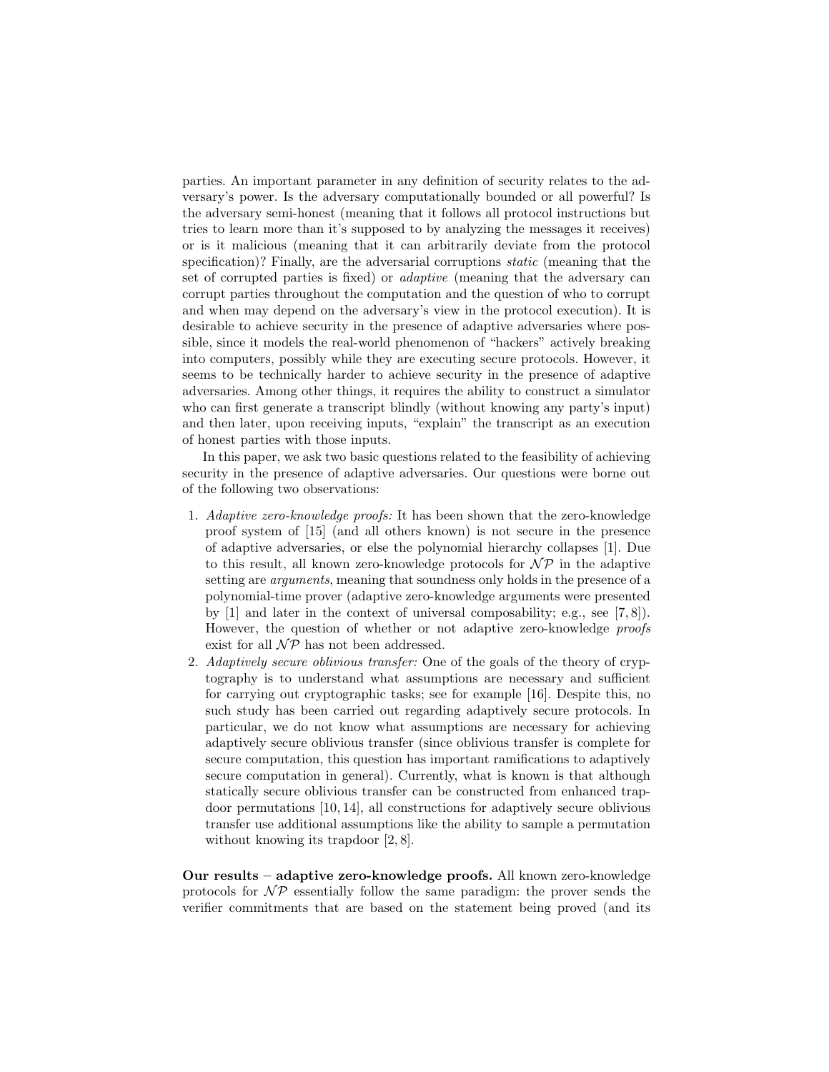parties. An important parameter in any definition of security relates to the adversary's power. Is the adversary computationally bounded or all powerful? Is the adversary semi-honest (meaning that it follows all protocol instructions but tries to learn more than it's supposed to by analyzing the messages it receives) or is it malicious (meaning that it can arbitrarily deviate from the protocol specification)? Finally, are the adversarial corruptions *static* (meaning that the set of corrupted parties is fixed) or adaptive (meaning that the adversary can corrupt parties throughout the computation and the question of who to corrupt and when may depend on the adversary's view in the protocol execution). It is desirable to achieve security in the presence of adaptive adversaries where possible, since it models the real-world phenomenon of "hackers" actively breaking into computers, possibly while they are executing secure protocols. However, it seems to be technically harder to achieve security in the presence of adaptive adversaries. Among other things, it requires the ability to construct a simulator who can first generate a transcript blindly (without knowing any party's input) and then later, upon receiving inputs, "explain" the transcript as an execution of honest parties with those inputs.

In this paper, we ask two basic questions related to the feasibility of achieving security in the presence of adaptive adversaries. Our questions were borne out of the following two observations:

- 1. Adaptive zero-knowledge proofs: It has been shown that the zero-knowledge proof system of [15] (and all others known) is not secure in the presence of adaptive adversaries, or else the polynomial hierarchy collapses [1]. Due to this result, all known zero-knowledge protocols for  $\mathcal{NP}$  in the adaptive setting are arguments, meaning that soundness only holds in the presence of a polynomial-time prover (adaptive zero-knowledge arguments were presented by  $[1]$  and later in the context of universal composability; e.g., see  $[7, 8]$ ). However, the question of whether or not adaptive zero-knowledge proofs exist for all  $\mathcal{NP}$  has not been addressed.
- 2. Adaptively secure oblivious transfer: One of the goals of the theory of cryptography is to understand what assumptions are necessary and sufficient for carrying out cryptographic tasks; see for example [16]. Despite this, no such study has been carried out regarding adaptively secure protocols. In particular, we do not know what assumptions are necessary for achieving adaptively secure oblivious transfer (since oblivious transfer is complete for secure computation, this question has important ramifications to adaptively secure computation in general). Currently, what is known is that although statically secure oblivious transfer can be constructed from enhanced trapdoor permutations [10, 14], all constructions for adaptively secure oblivious transfer use additional assumptions like the ability to sample a permutation without knowing its trapdoor [2, 8].

Our results – adaptive zero-knowledge proofs. All known zero-knowledge protocols for  $\mathcal{NP}$  essentially follow the same paradigm: the prover sends the verifier commitments that are based on the statement being proved (and its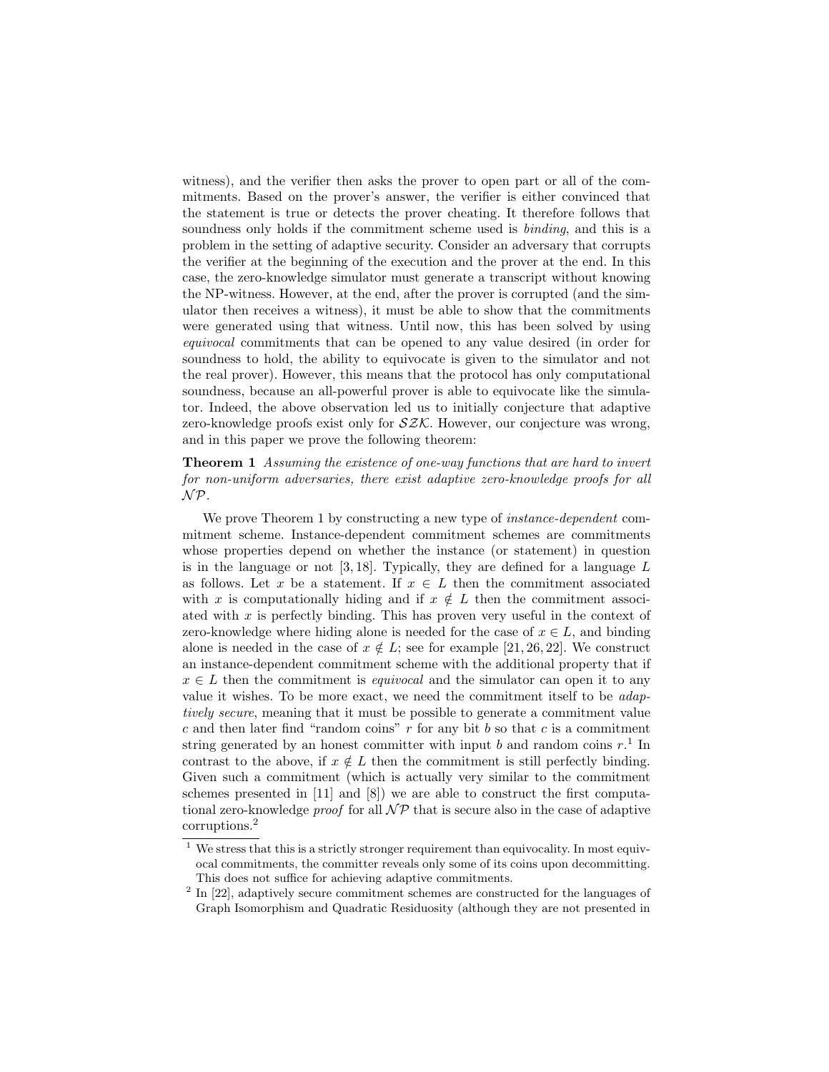witness), and the verifier then asks the prover to open part or all of the commitments. Based on the prover's answer, the verifier is either convinced that the statement is true or detects the prover cheating. It therefore follows that soundness only holds if the commitment scheme used is *binding*, and this is a problem in the setting of adaptive security. Consider an adversary that corrupts the verifier at the beginning of the execution and the prover at the end. In this case, the zero-knowledge simulator must generate a transcript without knowing the NP-witness. However, at the end, after the prover is corrupted (and the simulator then receives a witness), it must be able to show that the commitments were generated using that witness. Until now, this has been solved by using equivocal commitments that can be opened to any value desired (in order for soundness to hold, the ability to equivocate is given to the simulator and not the real prover). However, this means that the protocol has only computational soundness, because an all-powerful prover is able to equivocate like the simulator. Indeed, the above observation led us to initially conjecture that adaptive zero-knowledge proofs exist only for  $SZK$ . However, our conjecture was wrong, and in this paper we prove the following theorem:

### **Theorem 1** Assuming the existence of one-way functions that are hard to invert for non-uniform adversaries, there exist adaptive zero-knowledge proofs for all  $\mathcal{NP}.$

We prove Theorem 1 by constructing a new type of *instance-dependent* commitment scheme. Instance-dependent commitment schemes are commitments whose properties depend on whether the instance (or statement) in question is in the language or not [3, 18]. Typically, they are defined for a language  $L$ as follows. Let x be a statement. If  $x \in L$  then the commitment associated with x is computationally hiding and if  $x \notin L$  then the commitment associated with  $x$  is perfectly binding. This has proven very useful in the context of zero-knowledge where hiding alone is needed for the case of  $x \in L$ , and binding alone is needed in the case of  $x \notin L$ ; see for example [21, 26, 22]. We construct an instance-dependent commitment scheme with the additional property that if  $x \in L$  then the commitment is *equivocal* and the simulator can open it to any value it wishes. To be more exact, we need the commitment itself to be adaptively secure, meaning that it must be possible to generate a commitment value  $c$  and then later find "random coins"  $r$  for any bit  $b$  so that  $c$  is a commitment string generated by an honest committer with input b and random coins  $r$ <sup>1</sup>. In contrast to the above, if  $x \notin L$  then the commitment is still perfectly binding. Given such a commitment (which is actually very similar to the commitment schemes presented in [11] and [8]) we are able to construct the first computational zero-knowledge *proof* for all  $\mathcal{NP}$  that is secure also in the case of adaptive corruptions.<sup>2</sup>

 $1$  We stress that this is a strictly stronger requirement than equivocality. In most equivocal commitments, the committer reveals only some of its coins upon decommitting. This does not suffice for achieving adaptive commitments.

<sup>&</sup>lt;sup>2</sup> In [22], adaptively secure commitment schemes are constructed for the languages of Graph Isomorphism and Quadratic Residuosity (although they are not presented in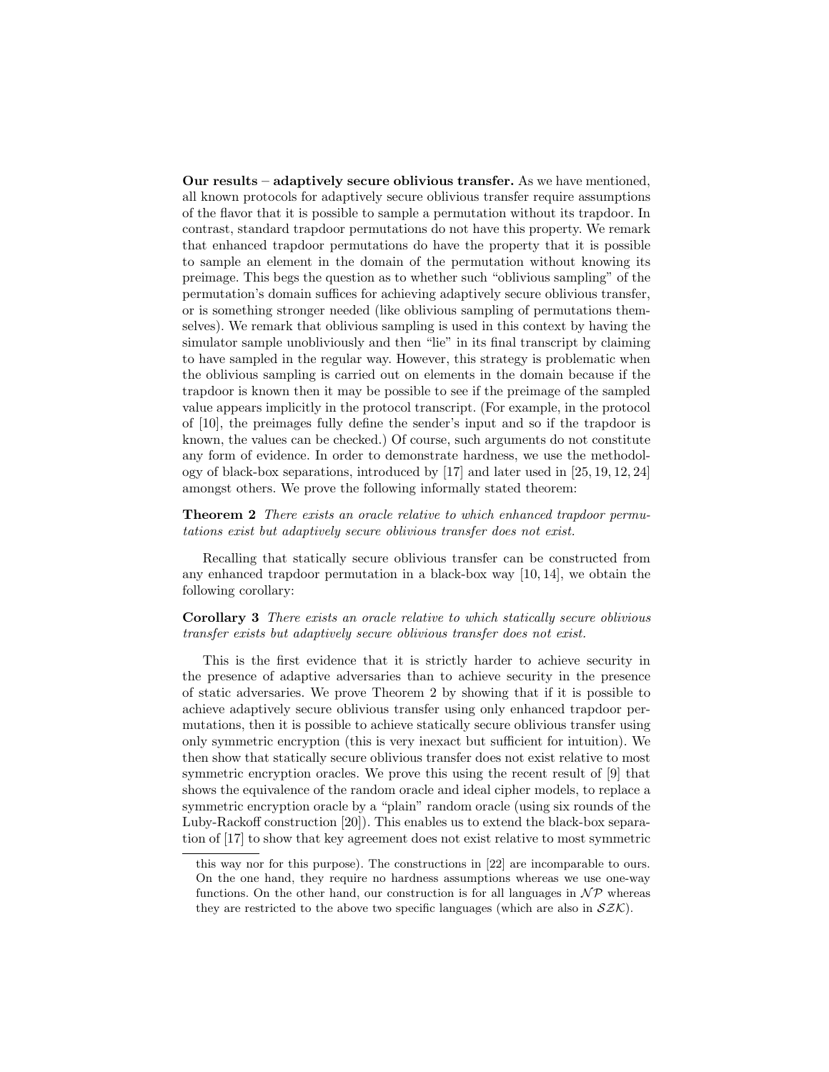Our results – adaptively secure oblivious transfer. As we have mentioned, all known protocols for adaptively secure oblivious transfer require assumptions of the flavor that it is possible to sample a permutation without its trapdoor. In contrast, standard trapdoor permutations do not have this property. We remark that enhanced trapdoor permutations do have the property that it is possible to sample an element in the domain of the permutation without knowing its preimage. This begs the question as to whether such "oblivious sampling" of the permutation's domain suffices for achieving adaptively secure oblivious transfer, or is something stronger needed (like oblivious sampling of permutations themselves). We remark that oblivious sampling is used in this context by having the simulator sample unobliviously and then "lie" in its final transcript by claiming to have sampled in the regular way. However, this strategy is problematic when the oblivious sampling is carried out on elements in the domain because if the trapdoor is known then it may be possible to see if the preimage of the sampled value appears implicitly in the protocol transcript. (For example, in the protocol of [10], the preimages fully define the sender's input and so if the trapdoor is known, the values can be checked.) Of course, such arguments do not constitute any form of evidence. In order to demonstrate hardness, we use the methodology of black-box separations, introduced by [17] and later used in [25, 19, 12, 24] amongst others. We prove the following informally stated theorem:

**Theorem 2** There exists an oracle relative to which enhanced trapdoor permutations exist but adaptively secure oblivious transfer does not exist.

Recalling that statically secure oblivious transfer can be constructed from any enhanced trapdoor permutation in a black-box way  $[10, 14]$ , we obtain the following corollary:

Corollary 3 There exists an oracle relative to which statically secure oblivious transfer exists but adaptively secure oblivious transfer does not exist.

This is the first evidence that it is strictly harder to achieve security in the presence of adaptive adversaries than to achieve security in the presence of static adversaries. We prove Theorem 2 by showing that if it is possible to achieve adaptively secure oblivious transfer using only enhanced trapdoor permutations, then it is possible to achieve statically secure oblivious transfer using only symmetric encryption (this is very inexact but sufficient for intuition). We then show that statically secure oblivious transfer does not exist relative to most symmetric encryption oracles. We prove this using the recent result of [9] that shows the equivalence of the random oracle and ideal cipher models, to replace a symmetric encryption oracle by a "plain" random oracle (using six rounds of the Luby-Rackoff construction [20]). This enables us to extend the black-box separation of [17] to show that key agreement does not exist relative to most symmetric

this way nor for this purpose). The constructions in [22] are incomparable to ours. On the one hand, they require no hardness assumptions whereas we use one-way functions. On the other hand, our construction is for all languages in  $\mathcal{NP}$  whereas they are restricted to the above two specific languages (which are also in  $\mathcal{SZK}$ ).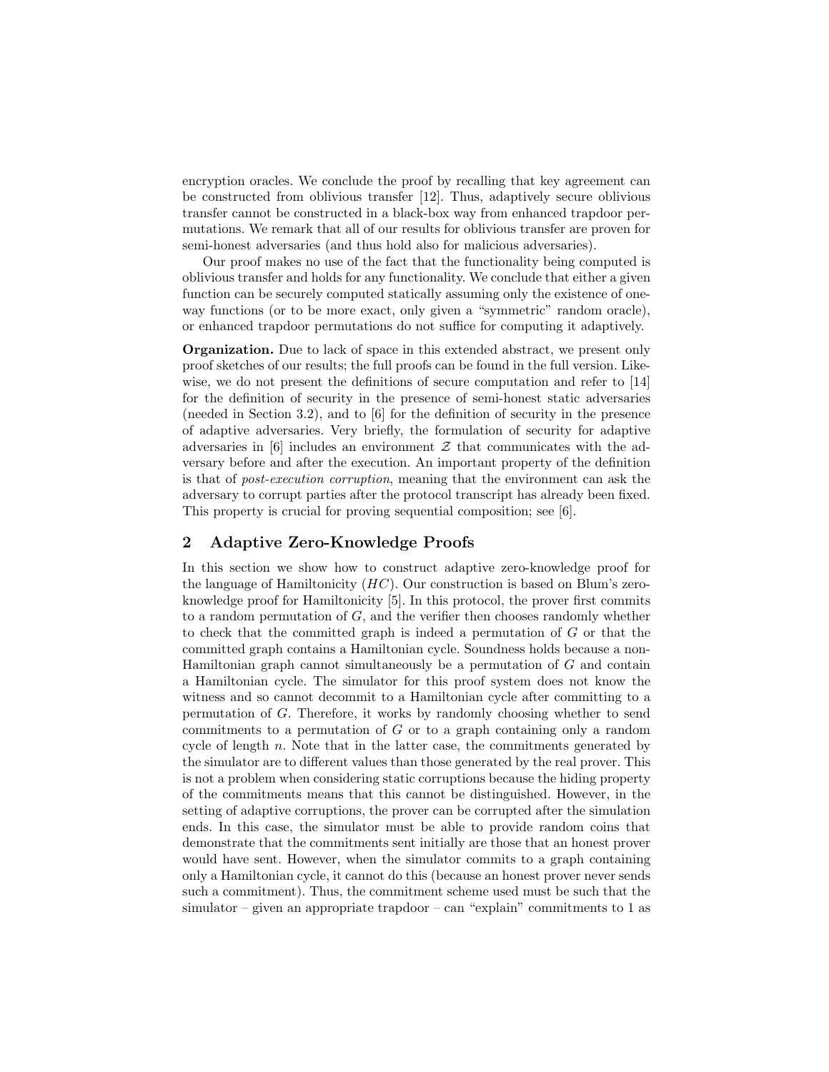encryption oracles. We conclude the proof by recalling that key agreement can be constructed from oblivious transfer [12]. Thus, adaptively secure oblivious transfer cannot be constructed in a black-box way from enhanced trapdoor permutations. We remark that all of our results for oblivious transfer are proven for semi-honest adversaries (and thus hold also for malicious adversaries).

Our proof makes no use of the fact that the functionality being computed is oblivious transfer and holds for any functionality. We conclude that either a given function can be securely computed statically assuming only the existence of oneway functions (or to be more exact, only given a "symmetric" random oracle), or enhanced trapdoor permutations do not suffice for computing it adaptively.

Organization. Due to lack of space in this extended abstract, we present only proof sketches of our results; the full proofs can be found in the full version. Likewise, we do not present the definitions of secure computation and refer to [14] for the definition of security in the presence of semi-honest static adversaries (needed in Section 3.2), and to [6] for the definition of security in the presence of adaptive adversaries. Very briefly, the formulation of security for adaptive adversaries in [6] includes an environment  $\mathcal Z$  that communicates with the adversary before and after the execution. An important property of the definition is that of post-execution corruption, meaning that the environment can ask the adversary to corrupt parties after the protocol transcript has already been fixed. This property is crucial for proving sequential composition; see [6].

## 2 Adaptive Zero-Knowledge Proofs

In this section we show how to construct adaptive zero-knowledge proof for the language of Hamiltonicity  $(HC)$ . Our construction is based on Blum's zeroknowledge proof for Hamiltonicity [5]. In this protocol, the prover first commits to a random permutation of  $G$ , and the verifier then chooses randomly whether to check that the committed graph is indeed a permutation of G or that the committed graph contains a Hamiltonian cycle. Soundness holds because a non-Hamiltonian graph cannot simultaneously be a permutation of G and contain a Hamiltonian cycle. The simulator for this proof system does not know the witness and so cannot decommit to a Hamiltonian cycle after committing to a permutation of G. Therefore, it works by randomly choosing whether to send commitments to a permutation of  $G$  or to a graph containing only a random cycle of length n. Note that in the latter case, the commitments generated by the simulator are to different values than those generated by the real prover. This is not a problem when considering static corruptions because the hiding property of the commitments means that this cannot be distinguished. However, in the setting of adaptive corruptions, the prover can be corrupted after the simulation ends. In this case, the simulator must be able to provide random coins that demonstrate that the commitments sent initially are those that an honest prover would have sent. However, when the simulator commits to a graph containing only a Hamiltonian cycle, it cannot do this (because an honest prover never sends such a commitment). Thus, the commitment scheme used must be such that the  $simulator - given an appropriate trapdoor - can "explain" commitments to 1 as$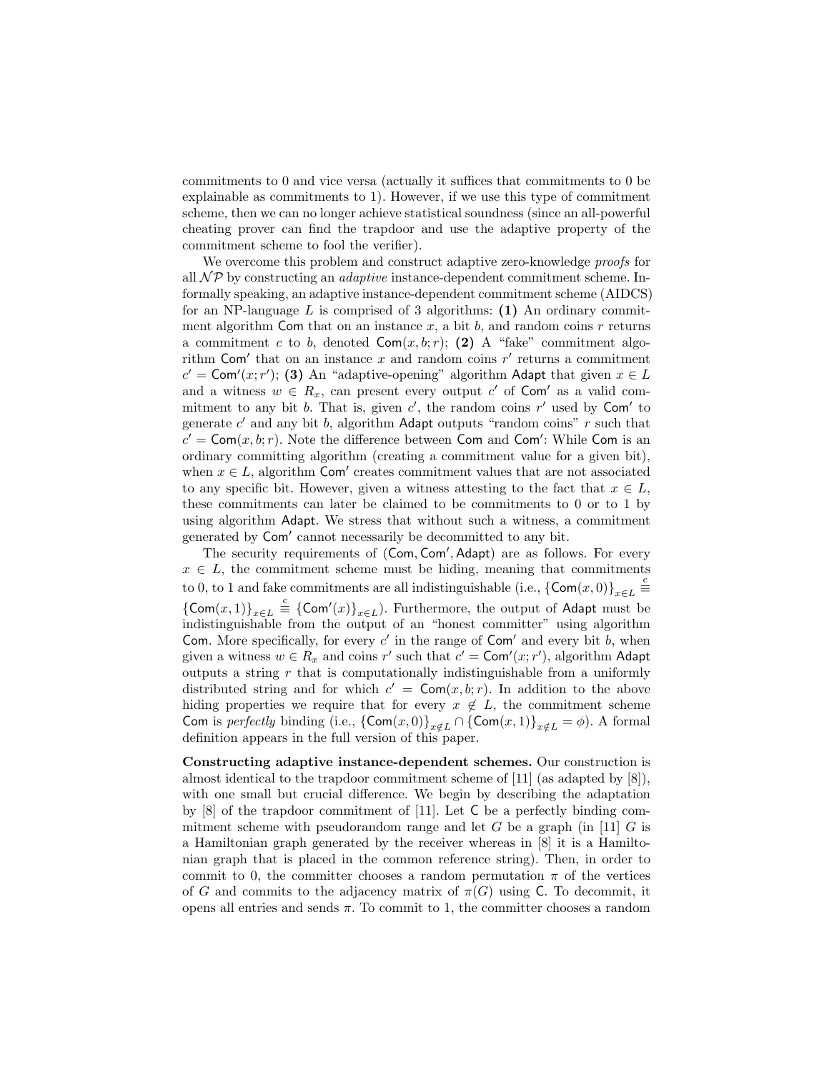commitments to 0 and vice versa (actually it suffices that commitments to 0 be explainable as commitments to 1). However, if we use this type of commitment scheme, then we can no longer achieve statistical soundness (since an all-powerful cheating prover can find the trapdoor and use the adaptive property of the commitment scheme to fool the verifier).

We overcome this problem and construct adaptive zero-knowledge *proofs* for all  $\mathcal{NP}$  by constructing an *adaptive* instance-dependent commitment scheme. Informally speaking, an adaptive instance-dependent commitment scheme (AIDCS) for an NP-language L is comprised of 3 algorithms:  $(1)$  An ordinary commitment algorithm Com that on an instance  $x$ , a bit  $b$ , and random coins  $r$  returns a commitment c to b, denoted  $\mathsf{Com}(x, b; r)$ ; (2) A "fake" commitment algorithm  $Com'$  that on an instance x and random coins  $r'$  returns a commitment  $c' = \text{Com}'(x; r')$ ; (3) An "adaptive-opening" algorithm Adapt that given  $x \in L$ and a witness  $w \in R_x$ , can present every output c' of Com' as a valid commitment to any bit b. That is, given  $c'$ , the random coins  $r'$  used by Com' to generate  $c'$  and any bit b, algorithm Adapt outputs "random coins"  $r$  such that  $c' = \textsf{Com}(x, b; r)$ . Note the difference between Com and Com': While Com is an ordinary committing algorithm (creating a commitment value for a given bit), when  $x \in L$ , algorithm Com' creates commitment values that are not associated to any specific bit. However, given a witness attesting to the fact that  $x \in L$ , these commitments can later be claimed to be commitments to 0 or to 1 by using algorithm Adapt. We stress that without such a witness, a commitment generated by Com' cannot necessarily be decommitted to any bit.

The security requirements of (Com, Com', Adapt) are as follows. For every  $x \in L$ , the commitment scheme must be hiding, meaning that commitments to 0, to 1 and fake commitments are all indistinguishable (i.e.,  $\{\textsf{Com}(x,0)\}_{x\in L} \stackrel{c}{=}$  ${\rm \{Com}(x,1)\}_{x\in L} \stackrel{c}{\equiv} {\rm \{Com}'(x)\}_{x\in L}$ ). Furthermore, the output of Adapt must be indistinguishable from the output of an "honest committer" using algorithm Com. More specifically, for every  $c'$  in the range of Com' and every bit  $b$ , when given a witness  $w \in R_x$  and coins r' such that  $c' = \text{Com}'(x; r')$ , algorithm Adapt outputs a string  $r$  that is computationally indistinguishable from a uniformly distributed string and for which  $c' = \text{Com}(x, b; r)$ . In addition to the above hiding properties we require that for every  $x \notin L$ , the commitment scheme Com is perfectly binding (i.e.,  $\{\textsf{Com}(x,0)\}_{x \notin L} \cap \{\textsf{Com}(x,1)\}_{x \notin L} = \phi$ ). A formal definition appears in the full version of this paper.

Constructing adaptive instance-dependent schemes. Our construction is almost identical to the trapdoor commitment scheme of [11] (as adapted by [8]), with one small but crucial difference. We begin by describing the adaptation by [8] of the trapdoor commitment of [11]. Let C be a perfectly binding commitment scheme with pseudorandom range and let G be a graph (in [11]  $G$  is a Hamiltonian graph generated by the receiver whereas in [8] it is a Hamiltonian graph that is placed in the common reference string). Then, in order to commit to 0, the committer chooses a random permutation  $\pi$  of the vertices of G and commits to the adjacency matrix of  $\pi(G)$  using C. To decommit, it opens all entries and sends  $\pi$ . To commit to 1, the committer chooses a random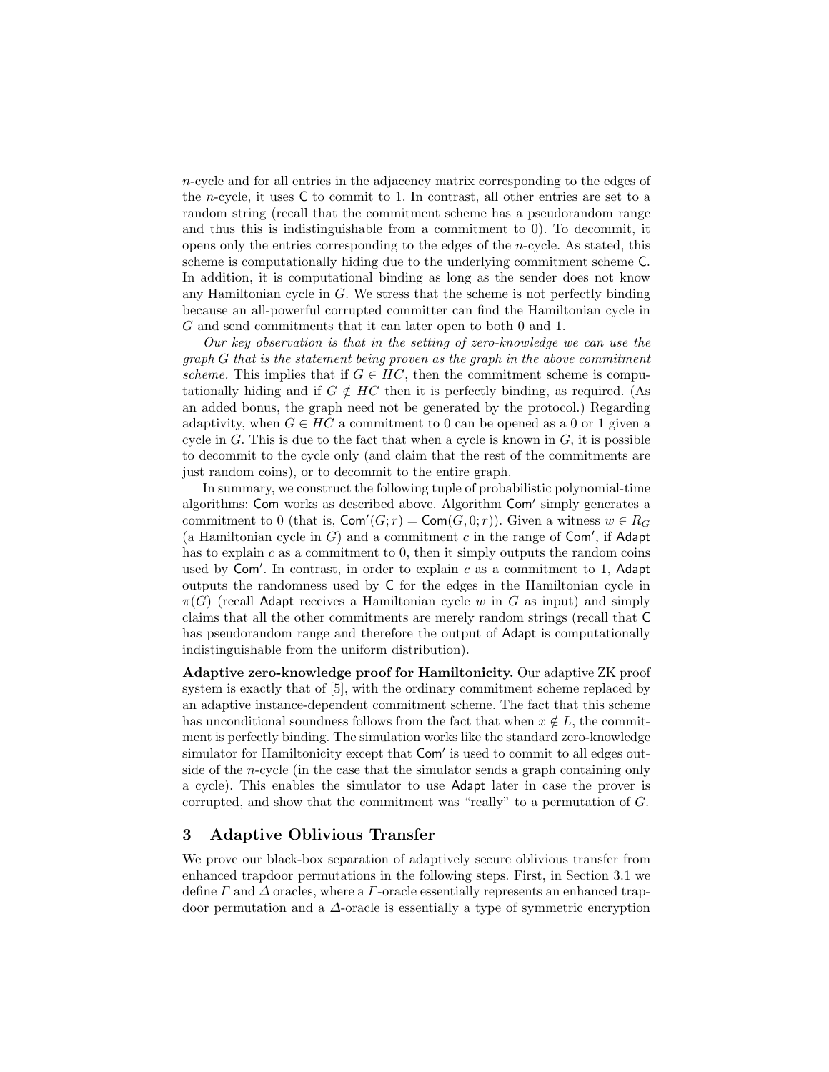n-cycle and for all entries in the adjacency matrix corresponding to the edges of the *n*-cycle, it uses  $\mathsf C$  to commit to 1. In contrast, all other entries are set to a random string (recall that the commitment scheme has a pseudorandom range and thus this is indistinguishable from a commitment to 0). To decommit, it opens only the entries corresponding to the edges of the n-cycle. As stated, this scheme is computationally hiding due to the underlying commitment scheme C. In addition, it is computational binding as long as the sender does not know any Hamiltonian cycle in  $G$ . We stress that the scheme is not perfectly binding because an all-powerful corrupted committer can find the Hamiltonian cycle in G and send commitments that it can later open to both 0 and 1.

Our key observation is that in the setting of zero-knowledge we can use the graph G that is the statement being proven as the graph in the above commitment scheme. This implies that if  $G \in HC$ , then the commitment scheme is computationally hiding and if  $G \notin HC$  then it is perfectly binding, as required. (As an added bonus, the graph need not be generated by the protocol.) Regarding adaptivity, when  $G \in HC$  a commitment to 0 can be opened as a 0 or 1 given a cycle in  $G$ . This is due to the fact that when a cycle is known in  $G$ , it is possible to decommit to the cycle only (and claim that the rest of the commitments are just random coins), or to decommit to the entire graph.

In summary, we construct the following tuple of probabilistic polynomial-time algorithms: Com works as described above. Algorithm Com' simply generates a commitment to 0 (that is,  $\mathsf{Com}'(G; r) = \mathsf{Com}(G, 0; r)$ ). Given a witness  $w \in R_G$ (a Hamiltonian cycle in  $G$ ) and a commitment  $c$  in the range of Com', if Adapt has to explain  $c$  as a commitment to 0, then it simply outputs the random coins used by  $Com'$ . In contrast, in order to explain c as a commitment to 1, Adapt outputs the randomness used by C for the edges in the Hamiltonian cycle in  $\pi(G)$  (recall Adapt receives a Hamiltonian cycle w in G as input) and simply claims that all the other commitments are merely random strings (recall that C has pseudorandom range and therefore the output of Adapt is computationally indistinguishable from the uniform distribution).

Adaptive zero-knowledge proof for Hamiltonicity. Our adaptive ZK proof system is exactly that of [5], with the ordinary commitment scheme replaced by an adaptive instance-dependent commitment scheme. The fact that this scheme has unconditional soundness follows from the fact that when  $x \notin L$ , the commitment is perfectly binding. The simulation works like the standard zero-knowledge simulator for Hamiltonicity except that  $Com'$  is used to commit to all edges outside of the n-cycle (in the case that the simulator sends a graph containing only a cycle). This enables the simulator to use Adapt later in case the prover is corrupted, and show that the commitment was "really" to a permutation of G.

#### 3 Adaptive Oblivious Transfer

We prove our black-box separation of adaptively secure oblivious transfer from enhanced trapdoor permutations in the following steps. First, in Section 3.1 we define  $\Gamma$  and  $\Delta$  oracles, where a  $\Gamma$ -oracle essentially represents an enhanced trapdoor permutation and a  $\Delta$ -oracle is essentially a type of symmetric encryption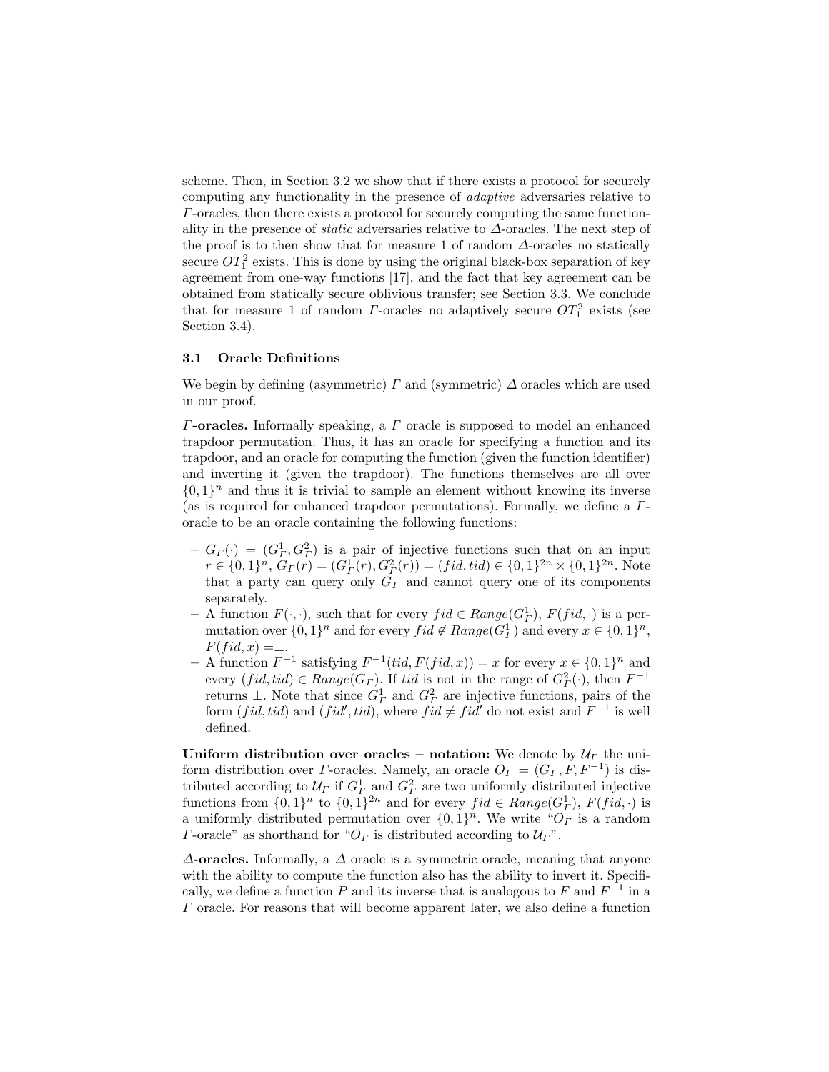scheme. Then, in Section 3.2 we show that if there exists a protocol for securely computing any functionality in the presence of adaptive adversaries relative to Γ-oracles, then there exists a protocol for securely computing the same functionality in the presence of *static* adversaries relative to  $\Delta$ -oracles. The next step of the proof is to then show that for measure 1 of random  $\Delta$ -oracles no statically secure  $OT_1^2$  exists. This is done by using the original black-box separation of key agreement from one-way functions [17], and the fact that key agreement can be obtained from statically secure oblivious transfer; see Section 3.3. We conclude that for measure 1 of random  $\Gamma$ -oracles no adaptively secure  $OT_1^2$  exists (see Section 3.4).

#### 3.1 Oracle Definitions

We begin by defining (asymmetric)  $\Gamma$  and (symmetric)  $\Delta$  oracles which are used in our proof.

 $\Gamma$ -oracles. Informally speaking, a  $\Gamma$  oracle is supposed to model an enhanced trapdoor permutation. Thus, it has an oracle for specifying a function and its trapdoor, and an oracle for computing the function (given the function identifier) and inverting it (given the trapdoor). The functions themselves are all over  $\{0,1\}^n$  and thus it is trivial to sample an element without knowing its inverse (as is required for enhanced trapdoor permutations). Formally, we define a Γoracle to be an oracle containing the following functions:

- $-G<sub>\Gamma</sub>(.) = (G<sub>\Gamma</sub><sup>1</sup>, G<sub>\Gamma</sub><sup>2</sup>)$  is a pair of injective functions such that on an input  $r \in \{0,1\}^n$ ,  $G_{\Gamma}(r) = (G_{\Gamma}^1(r), G_{\Gamma}^2(r)) = (fid, tid) \in \{0,1\}^{2n} \times \{0,1\}^{2n}$ . Note that a party can query only  $G<sub>Γ</sub>$  and cannot query one of its components separately.
- A function  $F(·, ·)$ , such that for every  $fid ∈ Range(G_T^1)$ ,  $F(fid, ·)$  is a permutation over  $\{0,1\}^n$  and for every  $fid \notin Range(G_P^1)$  and every  $x \in \{0,1\}^n$ ,  $F(fid, x) = \perp.$
- $A$  function  $F^{-1}$  satisfying  $F^{-1}(tid, F(fid, x)) = x$  for every  $x \in \{0, 1\}^n$  and every  $(fid, tid) \in Range(G_\Gamma)$ . If tid is not in the range of  $G_\Gamma^2(\cdot)$ , then  $F^{-1}$ returns  $\perp$ . Note that since  $G_{\Gamma}^1$  and  $G_{\Gamma}^2$  are injective functions, pairs of the form  $(fid, tid)$  and  $(fid', tid)$ , where  $fid \neq fid'$  do not exist and  $F^{-1}$  is well defined.

Uniform distribution over oracles – notation: We denote by  $\mathcal{U}_{\Gamma}$  the uniform distribution over *Γ*-oracles. Namely, an oracle  $O<sub>F</sub> = (G<sub>F</sub>, F, F<sup>-1</sup>)$  is distributed according to  $U_{\Gamma}$  if  $G_{\Gamma}^1$  and  $G_{\Gamma}^2$  are two uniformly distributed injective functions from  $\{0,1\}^n$  to  $\{0,1\}^{2n}$  and for every  $fid \in Range(G^1_\Gamma)$ ,  $F(fid, \cdot)$  is a uniformly distributed permutation over  $\{0,1\}^n$ . We write " $O_t$  is a random  $\Gamma$ -oracle" as shorthand for " $O_{\Gamma}$  is distributed according to  $\mathcal{U}_{\Gamma}$ ".

 $\Delta$ -oracles. Informally, a  $\Delta$  oracle is a symmetric oracle, meaning that anyone with the ability to compute the function also has the ability to invert it. Specifically, we define a function P and its inverse that is analogous to F and  $F^{-1}$  in a Γ oracle. For reasons that will become apparent later, we also define a function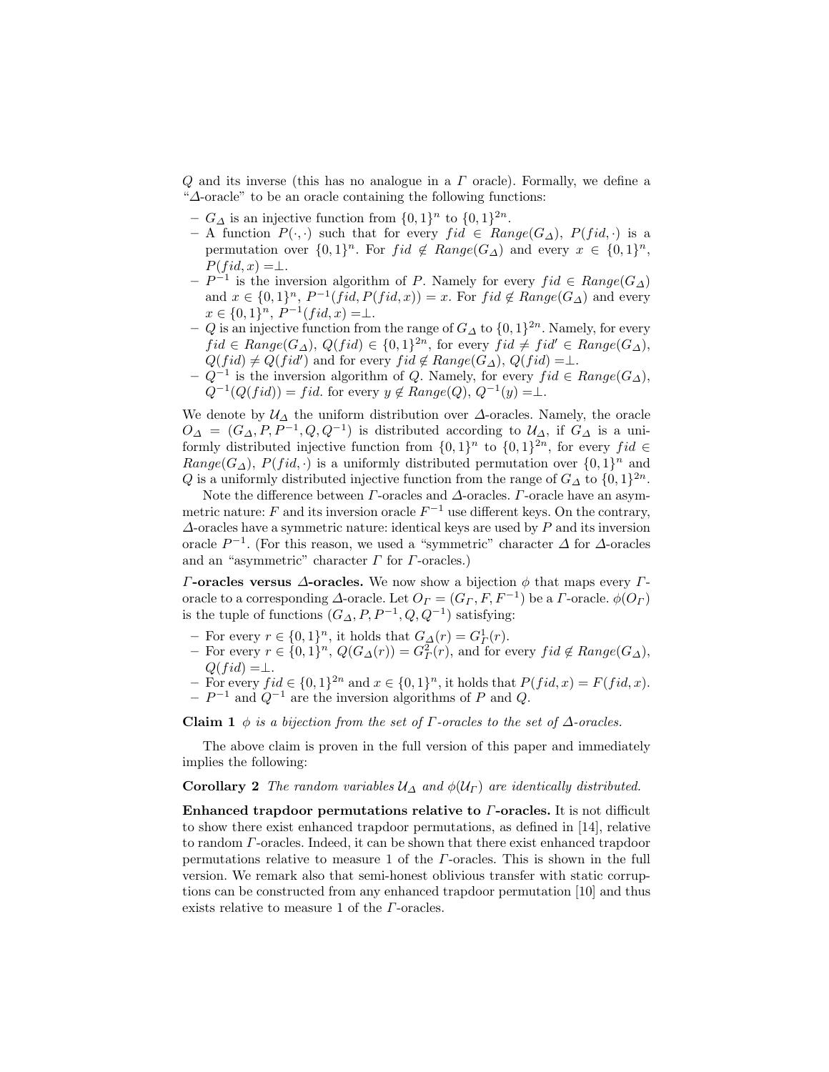Q and its inverse (this has no analogue in a Γ oracle). Formally, we define a "∆-oracle" to be an oracle containing the following functions:

- $-G_{\Delta}$  is an injective function from  $\{0,1\}^n$  to  $\{0,1\}^{2n}$ .
- A function  $P(\cdot, \cdot)$  such that for every  $fid \in Range(G_{\Delta}), P(fid, \cdot)$  is a permutation over  $\{0,1\}^n$ . For  $fid \notin Range(G_{\Delta})$  and every  $x \in \{0,1\}^n$ ,  $P(fid, x) = \perp.$
- $-P^{-1}$  is the inversion algorithm of P. Namely for every  $fid \in Range(G_{\Delta})$ and  $x \in \{0,1\}^n$ ,  $P^{-1}(fid, P(fid, x)) = x$ . For  $fid \notin Range(G_{\Delta})$  and every  $x \in \{0,1\}^n$ ,  $P^{-1}(fid, x) = \perp$ .
- $-$  Q is an injective function from the range of  $G$ ∆ to  $\{0,1\}^{2n}$ . Namely, for every  $fid \in Range(G_{\Delta}), Q(fid) \in \{0,1\}^{2n}$ , for every  $fid \neq fid' \in Range(G_{\Delta}),$  $Q(fid) \neq Q(fid')$  and for every  $fid \notin Range(G_{\Delta}), Q(fid) = \perp$ .
- $Q^{-1}$  is the inversion algorithm of Q. Namely, for every  $fid ∈ Range(G_Δ)$ ,  $Q^{-1}(Q(fid)) = fid$ . for every  $y \notin Range(Q), Q^{-1}(y) = \perp$ .

We denote by  $\mathcal{U}_{\Delta}$  the uniform distribution over  $\Delta$ -oracles. Namely, the oracle  $O_{\Delta} = (G_{\Delta}, P, P^{-1}, Q, Q^{-1})$  is distributed according to  $\mathcal{U}_{\Delta}$ , if  $G_{\Delta}$  is a uniformly distributed injective function from  $\{0,1\}^n$  to  $\{0,1\}^{2n}$ , for every  $fid \in$  $Range(G_{\Delta}), P(fid, \cdot)$  is a uniformly distributed permutation over  $\{0, 1\}^n$  and Q is a uniformly distributed injective function from the range of  $G_{\Delta}$  to  $\{0,1\}^{2n}$ .

Note the difference between  $\Gamma$ -oracles and  $\Delta$ -oracles.  $\Gamma$ -oracle have an asymmetric nature: F and its inversion oracle  $F^{-1}$  use different keys. On the contrary,  $\Delta$ -oracles have a symmetric nature: identical keys are used by  $P$  and its inversion oracle  $P^{-1}$ . (For this reason, we used a "symmetric" character  $\Delta$  for  $\Delta$ -oracles and an "asymmetric" character  $\Gamma$  for  $\Gamma$ -oracles.)

Γ-oracles versus  $\Delta$ -oracles. We now show a bijection φ that maps every Γoracle to a corresponding  $\Delta$ -oracle. Let  $O_F = (G_F, F, F^{-1})$  be a  $\Gamma$ -oracle.  $\phi(O_F)$ is the tuple of functions  $(G_{\Delta}, P, P^{-1}, Q, Q^{-1})$  satisfying:

- For every  $r \in \{0,1\}^n$ , it holds that  $G_{\mathcal{A}}(r) = G_{\Gamma}^1(r)$ .
- − For every  $r \in \{0, 1\}^n$ ,  $Q(G_Δ(r)) = G^2(F)$ , and for every fid ∉ Range( $G_Δ$ ),  $Q(fid) = \perp$ .
- − For every  $f id \in \{0,1\}^{2n}$  and  $x \in \{0,1\}^n$ , it holds that  $P(f id, x) = F(f id, x)$ .
- $-P^{-1}$  and  $Q^{-1}$  are the inversion algorithms of P and Q.

Claim 1  $\phi$  is a bijection from the set of  $\Gamma$ -oracles to the set of  $\Delta$ -oracles.

The above claim is proven in the full version of this paper and immediately implies the following:

#### **Corollary 2** The random variables  $U_{\Delta}$  and  $\phi(U_{\Gamma})$  are identically distributed.

Enhanced trapdoor permutations relative to  $\Gamma$ -oracles. It is not difficult to show there exist enhanced trapdoor permutations, as defined in [14], relative to random Γ-oracles. Indeed, it can be shown that there exist enhanced trapdoor permutations relative to measure 1 of the Γ-oracles. This is shown in the full version. We remark also that semi-honest oblivious transfer with static corruptions can be constructed from any enhanced trapdoor permutation [10] and thus exists relative to measure 1 of the Γ-oracles.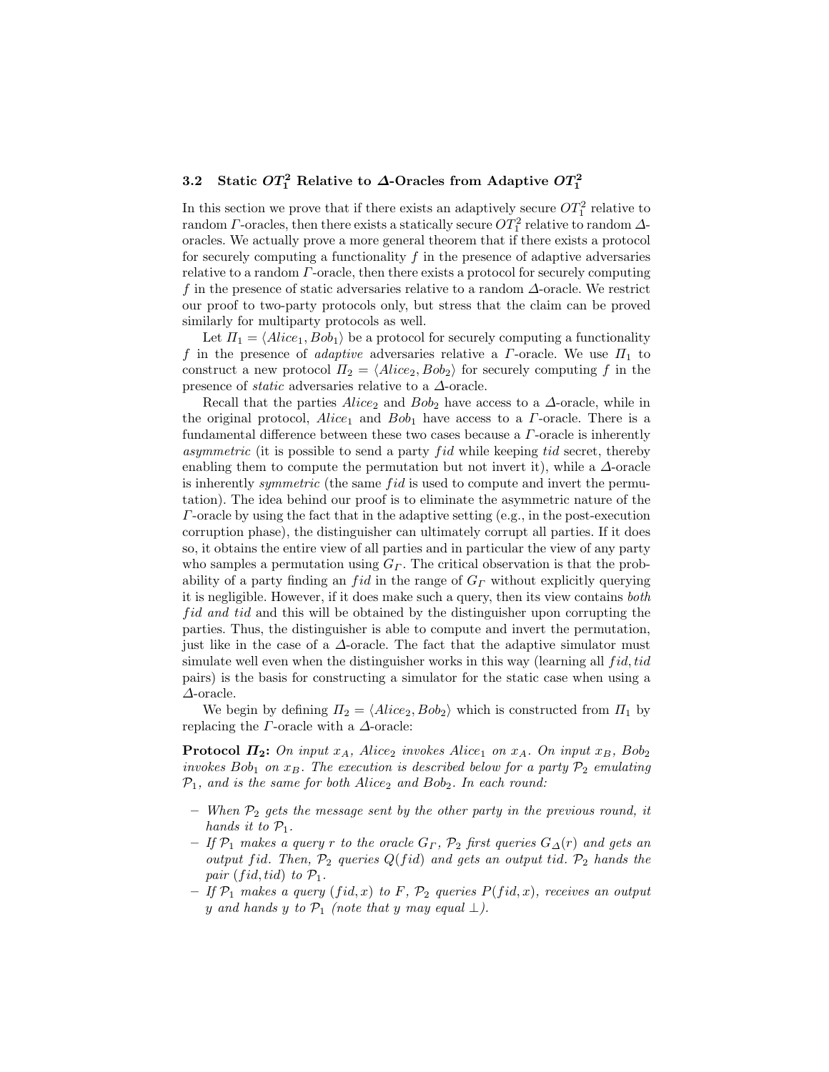# 3.2 Static  $OT_1^2$  Relative to  $\Delta$ -Oracles from Adaptive  $OT_1^2$

In this section we prove that if there exists an adaptively secure  $OT_1^2$  relative to random  $\Gamma$ -oracles, then there exists a statically secure  $OT_1^2$  relative to random  $\Delta$ oracles. We actually prove a more general theorem that if there exists a protocol for securely computing a functionality  $f$  in the presence of adaptive adversaries relative to a random Γ-oracle, then there exists a protocol for securely computing f in the presence of static adversaries relative to a random  $\Delta$ -oracle. We restrict our proof to two-party protocols only, but stress that the claim can be proved similarly for multiparty protocols as well.

Let  $\Pi_1 = \langle Alice_1, Bob_1 \rangle$  be a protocol for securely computing a functionality f in the presence of *adaptive* adversaries relative a  $\Gamma$ -oracle. We use  $\Pi_1$  to construct a new protocol  $\Pi_2 = \langle Alice_2, Bob_2 \rangle$  for securely computing f in the presence of *static* adversaries relative to a  $\Delta$ -oracle.

Recall that the parties  $Alice_2$  and  $Bob_2$  have access to a  $\Delta$ -oracle, while in the original protocol,  $Alice_1$  and  $Bob_1$  have access to a  $\Gamma$ -oracle. There is a fundamental difference between these two cases because a Γ-oracle is inherently asymmetric (it is possible to send a party  $fid$  while keeping  $tid$  secret, thereby enabling them to compute the permutation but not invert it), while a  $\Delta$ -oracle is inherently symmetric (the same  $fid$  is used to compute and invert the permutation). The idea behind our proof is to eliminate the asymmetric nature of the Γ-oracle by using the fact that in the adaptive setting (e.g., in the post-execution corruption phase), the distinguisher can ultimately corrupt all parties. If it does so, it obtains the entire view of all parties and in particular the view of any party who samples a permutation using  $G<sub>Γ</sub>$ . The critical observation is that the probability of a party finding an fid in the range of  $G<sub>Γ</sub>$  without explicitly querying it is negligible. However, if it does make such a query, then its view contains both fid and tid and this will be obtained by the distinguisher upon corrupting the parties. Thus, the distinguisher is able to compute and invert the permutation, just like in the case of a  $\Delta$ -oracle. The fact that the adaptive simulator must simulate well even when the distinguisher works in this way (learning all  $fid, tid$ pairs) is the basis for constructing a simulator for the static case when using a ∆-oracle.

We begin by defining  $\Pi_2 = \langle Alice_2, Bob_2 \rangle$  which is constructed from  $\Pi_1$  by replacing the  $\Gamma$ -oracle with a  $\Delta$ -oracle:

**Protocol**  $\Pi_2$ **:** On input  $x_A$ , Alice<sub>2</sub> invokes Alice<sub>1</sub> on  $x_A$ . On input  $x_B$ , Bob<sub>2</sub> invokes Bob<sub>1</sub> on  $x_B$ . The execution is described below for a party  $P_2$  emulating  $\mathcal{P}_1$ , and is the same for both Alice<sub>2</sub> and Bob<sub>2</sub>. In each round:

- When  $\mathcal{P}_2$  gets the message sent by the other party in the previous round, it hands it to  $\mathcal{P}_1$ .
- If  $\mathcal{P}_1$  makes a query r to the oracle  $G_\Gamma$ ,  $\mathcal{P}_2$  first queries  $G_\Delta(r)$  and gets an output fid. Then,  $P_2$  queries  $Q(fid)$  and gets an output tid.  $P_2$  hands the pair (fid, tid) to  $\mathcal{P}_1$ .
- If  $\mathcal{P}_1$  makes a query (fid, x) to F,  $\mathcal{P}_2$  queries  $P(fid, x)$ , receives an output y and hands y to  $\mathcal{P}_1$  (note that y may equal  $\perp$ ).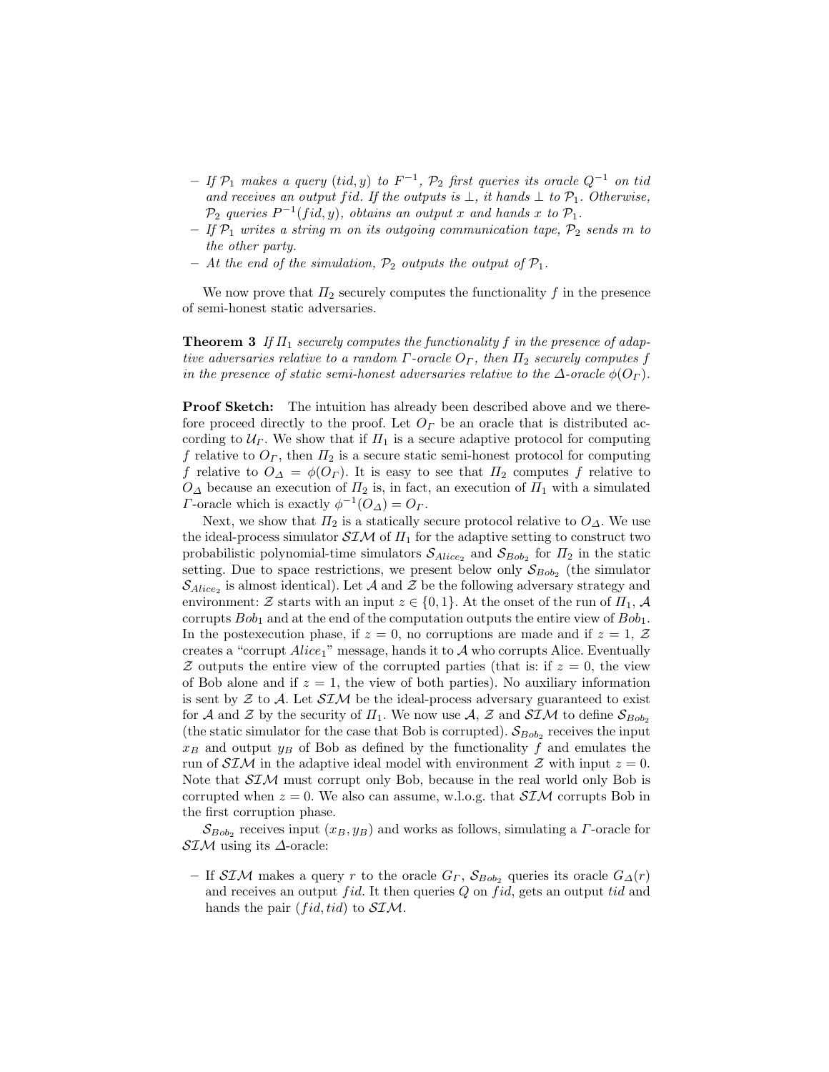- − If  $\mathcal{P}_1$  makes a query (tid, y) to  $F^{-1}$ ,  $\mathcal{P}_2$  first queries its oracle  $Q^{-1}$  on tid and receives an output fid. If the outputs is  $\bot$ , it hands  $\bot$  to  $\mathcal{P}_1$ . Otherwise,  $\mathcal{P}_2$  queries  $P^{-1}(fid, y)$ , obtains an output x and hands x to  $\mathcal{P}_1$ .
- $-$  If  $\mathcal{P}_1$  writes a string m on its outgoing communication tape,  $\mathcal{P}_2$  sends m to the other party.
- At the end of the simulation,  $\mathcal{P}_2$  outputs the output of  $\mathcal{P}_1$ .

We now prove that  $\Pi_2$  securely computes the functionality f in the presence of semi-honest static adversaries.

**Theorem 3** If  $\Pi_1$  securely computes the functionality f in the presence of adaptive adversaries relative to a random  $\Gamma$ -oracle  $O_{\Gamma}$ , then  $\Pi_2$  securely computes f in the presence of static semi-honest adversaries relative to the  $\Delta$ -oracle  $\phi(O_r)$ .

**Proof Sketch:** The intuition has already been described above and we therefore proceed directly to the proof. Let  $O<sub>\Gamma</sub>$  be an oracle that is distributed according to  $U_{\Gamma}$ . We show that if  $\Pi_1$  is a secure adaptive protocol for computing f relative to  $O<sub>r</sub>$ , then  $\Pi<sub>2</sub>$  is a secure static semi-honest protocol for computing f relative to  $O_{\Delta} = \phi(O_{\Gamma})$ . It is easy to see that  $\Pi_2$  computes f relative to  $O_{\Delta}$  because an execution of  $\Pi_2$  is, in fact, an execution of  $\Pi_1$  with a simulated *Γ*-oracle which is exactly  $\phi^{-1}(O_{\Delta}) = O_{\Gamma}$ .

Next, we show that  $\Pi_2$  is a statically secure protocol relative to  $O_{\Delta}$ . We use the ideal-process simulator  $SIM$  of  $\Pi_1$  for the adaptive setting to construct two probabilistic polynomial-time simulators  $\mathcal{S}_{Alice_2}$  and  $\mathcal{S}_{Bob_2}$  for  $\Pi_2$  in the static setting. Due to space restrictions, we present below only  $S_{Bob_2}$  (the simulator  $\mathcal{S}_{Alice_2}$  is almost identical). Let A and Z be the following adversary strategy and environment: Z starts with an input  $z \in \{0,1\}$ . At the onset of the run of  $\Pi_1$ , A corrupts  $Bob_1$  and at the end of the computation outputs the entire view of  $Bob_1$ . In the postexecution phase, if  $z = 0$ , no corruptions are made and if  $z = 1$ , Z creates a "corrupt  $Alice_1$ " message, hands it to  $A$  who corrupts Alice. Eventually  $\mathcal Z$  outputs the entire view of the corrupted parties (that is: if  $z = 0$ , the view of Bob alone and if  $z = 1$ , the view of both parties). No auxiliary information is sent by  $Z$  to  $A$ . Let  $SIM$  be the ideal-process adversary guaranteed to exist for A and Z by the security of  $\Pi_1$ . We now use A, Z and SIM to define  $S_{Bob_2}$ (the static simulator for the case that Bob is corrupted).  $S_{Bob_2}$  receives the input  $x_B$  and output  $y_B$  of Bob as defined by the functionality f and emulates the run of  $\mathcal{SIM}$  in the adaptive ideal model with environment Z with input  $z = 0$ . Note that  $SIM$  must corrupt only Bob, because in the real world only Bob is corrupted when  $z = 0$ . We also can assume, w.l.o.g. that  $SIM$  corrupts Bob in the first corruption phase.

 $S_{Bob_2}$  receives input  $(x_B, y_B)$  and works as follows, simulating a *Γ*-oracle for  $STM$  using its  $\Delta$ -oracle:

– If SIM makes a query r to the oracle  $G<sub>Γ</sub>$ ,  $S<sub>Bob<sub>2</sub></sub>$  queries its oracle  $G<sub>Δ</sub>(r)$ and receives an output  $fid.$  It then queries  $Q$  on  $fid.$  gets an output  $tid$  and hands the pair  $(fid, tid)$  to  $STM$ .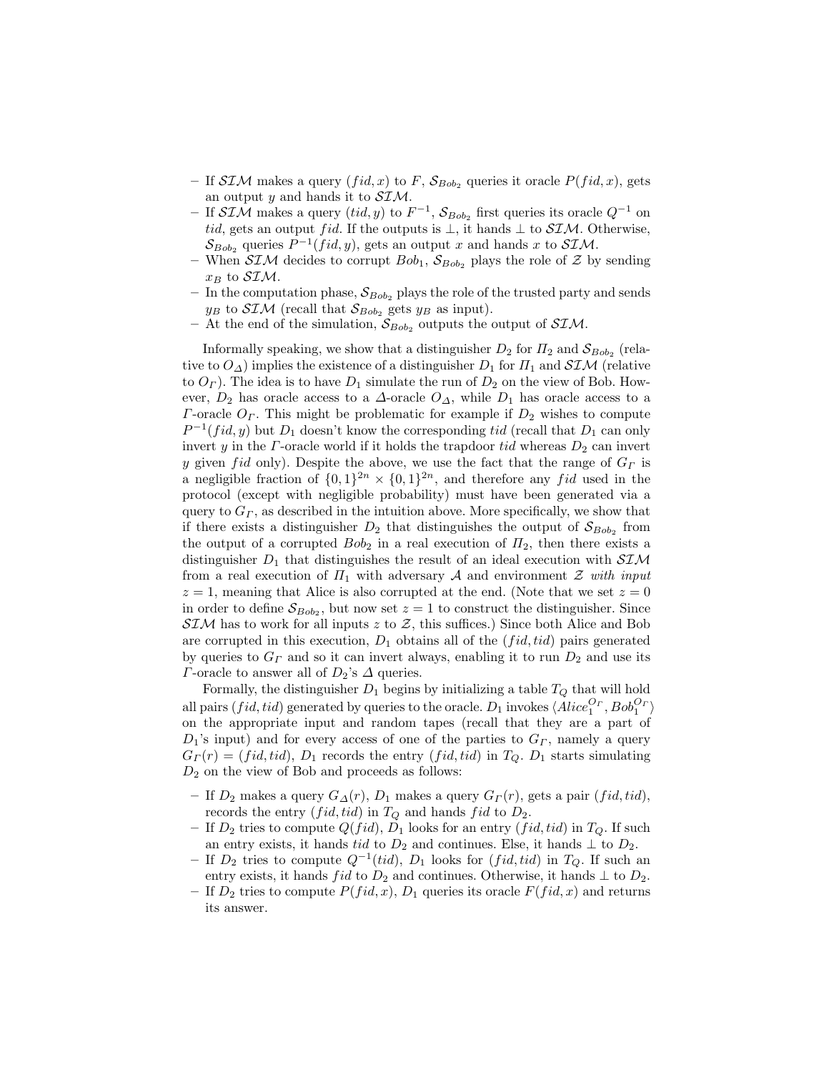- If SIM makes a query (fid, x) to F,  $S_{Bob_2}$  queries it oracle  $P(fid, x)$ , gets an output y and hands it to  $SIM$ .
- − If  $STM$  makes a query  $(tid, y)$  to  $F^{-1}$ ,  $S_{Bob_2}$  first queries its oracle  $Q^{-1}$  on *tid*, gets an output *fid*. If the outputs is  $\bot$ , it hands  $\bot$  to *SIM*. Otherwise,  $S_{Bob_2}$  queries  $P^{-1}(fid, y)$ , gets an output x and hands x to  $STM$ .
- When  $SIM$  decides to corrupt  $Bob_1$ ,  $S_{Bob_2}$  plays the role of Z by sending  $x_B$  to  $SIM$ .
- In the computation phase,  $S_{Bob_2}$  plays the role of the trusted party and sends  $y_B$  to  $\mathcal{SIM}$  (recall that  $\mathcal{S}_{Bob_2}$  gets  $y_B$  as input).
- At the end of the simulation,  $S_{Bob_2}$  outputs the output of  $STM$ .

Informally speaking, we show that a distinguisher  $D_2$  for  $\Pi_2$  and  $S_{Bob_2}$  (relative to  $O_{\Delta}$ ) implies the existence of a distinguisher  $D_1$  for  $\Pi_1$  and  $\mathcal{SIM}$  (relative to  $O_r$ ). The idea is to have  $D_1$  simulate the run of  $D_2$  on the view of Bob. However,  $D_2$  has oracle access to a  $\Delta$ -oracle  $O_{\Delta}$ , while  $D_1$  has oracle access to a  $\Gamma$ -oracle  $O_{\Gamma}$ . This might be problematic for example if  $D_2$  wishes to compute  $P^{-1}(fid, y)$  but  $D_1$  doesn't know the corresponding tid (recall that  $D_1$  can only invert y in the  $\Gamma$ -oracle world if it holds the trapdoor tid whereas  $D_2$  can invert y given fid only). Despite the above, we use the fact that the range of  $G_{\Gamma}$  is a negligible fraction of  $\{0,1\}^{2n} \times \{0,1\}^{2n}$ , and therefore any fid used in the protocol (except with negligible probability) must have been generated via a query to  $G_r$ , as described in the intuition above. More specifically, we show that if there exists a distinguisher  $D_2$  that distinguishes the output of  $S_{Bob_2}$  from the output of a corrupted  $Bob_2$  in a real execution of  $\Pi_2$ , then there exists a distinguisher  $D_1$  that distinguishes the result of an ideal execution with  $\mathcal{SIM}$ from a real execution of  $\Pi_1$  with adversary A and environment Z with input  $z = 1$ , meaning that Alice is also corrupted at the end. (Note that we set  $z = 0$ in order to define  $S_{Bob_2}$ , but now set  $z = 1$  to construct the distinguisher. Since  $STM$  has to work for all inputs z to Z, this suffices.) Since both Alice and Bob are corrupted in this execution,  $D_1$  obtains all of the  $(fid, tid)$  pairs generated by queries to  $G<sub>l</sub>$  and so it can invert always, enabling it to run  $D<sub>2</sub>$  and use its Γ-oracle to answer all of  $D_2$ 's  $\Delta$  queries.

Formally, the distinguisher  $D_1$  begins by initializing a table  $T_Q$  that will hold all pairs  $(fid, tid)$  generated by queries to the oracle.  $D_1$  invokes  $\langle Alice_1^{O_F}, Bob_1^{O_F} \rangle$ on the appropriate input and random tapes (recall that they are a part of  $D_1$ 's input) and for every access of one of the parties to  $G_r$ , namely a query  $G_{\Gamma}(r) = (fid, tid), D_1$  records the entry  $(fid, tid)$  in  $T_Q$ .  $D_1$  starts simulating  $D_2$  on the view of Bob and proceeds as follows:

- If  $D_2$  makes a query  $G_{\Delta}(r)$ ,  $D_1$  makes a query  $G_{\Gamma}(r)$ , gets a pair (fid, tid), records the entry  $(fid, tid)$  in  $T_Q$  and hands fid to  $D_2$ .
- If  $D_2$  tries to compute  $Q(fid)$ ,  $D_1$  looks for an entry  $(fid, tid)$  in  $T_Q$ . If such an entry exists, it hands tid to  $D_2$  and continues. Else, it hands  $\perp$  to  $D_2$ .
- If  $D_2$  tries to compute  $Q^{-1}(tid)$ ,  $D_1$  looks for  $(fid, tid)$  in  $T_Q$ . If such an entry exists, it hands fid to  $D_2$  and continues. Otherwise, it hands  $\perp$  to  $D_2$ .
- If  $D_2$  tries to compute  $P(fid, x)$ ,  $D_1$  queries its oracle  $F(fid, x)$  and returns its answer.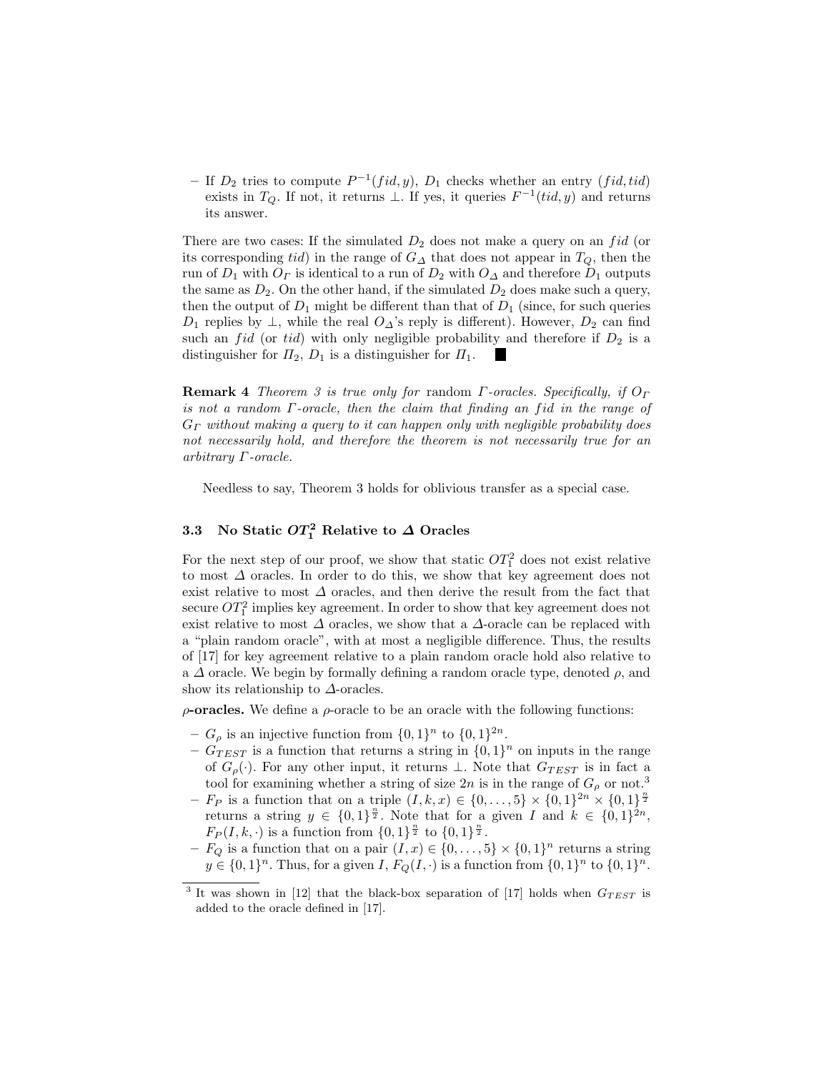– If  $D_2$  tries to compute  $P^{-1}(fid, y)$ ,  $D_1$  checks whether an entry  $(fid, tid)$ exists in  $T_Q$ . If not, it returns  $\perp$ . If yes, it queries  $F^{-1}(tid, y)$  and returns its answer.

There are two cases: If the simulated  $D_2$  does not make a query on an fid (or its corresponding tid) in the range of  $G_{\Delta}$  that does not appear in  $T_Q$ , then the run of  $D_1$  with  $O_\Gamma$  is identical to a run of  $D_2$  with  $O_\Delta$  and therefore  $D_1$  outputs the same as  $D_2$ . On the other hand, if the simulated  $D_2$  does make such a query, then the output of  $D_1$  might be different than that of  $D_1$  (since, for such queries  $D_1$  replies by  $\perp$ , while the real  $O_{\Delta}$ 's reply is different). However,  $D_2$  can find such an fid (or tid) with only negligible probability and therefore if  $D_2$  is a distinguisher for  $\Pi_2$ ,  $D_1$  is a distinguisher for  $\Pi_1$ .

**Remark 4** Theorem 3 is true only for random  $\Gamma$ -oracles. Specifically, if  $O_{\Gamma}$ is not a random  $\Gamma$ -oracle, then the claim that finding an fid in the range of  $G_{\Gamma}$  without making a query to it can happen only with negligible probability does not necessarily hold, and therefore the theorem is not necessarily true for an arbitrary Γ-oracle.

Needless to say, Theorem 3 holds for oblivious transfer as a special case.

# 3.3 No Static  $OT_1^2$  Relative to  $\Delta$  Oracles

For the next step of our proof, we show that static  $OT_1^2$  does not exist relative to most  $\Delta$  oracles. In order to do this, we show that key agreement does not exist relative to most  $\Delta$  oracles, and then derive the result from the fact that secure  $OT_1^2$  implies key agreement. In order to show that key agreement does not exist relative to most  $\Delta$  oracles, we show that a  $\Delta$ -oracle can be replaced with a "plain random oracle", with at most a negligible difference. Thus, the results of [17] for key agreement relative to a plain random oracle hold also relative to a  $\Delta$  oracle. We begin by formally defining a random oracle type, denoted  $\rho$ , and show its relationship to  $\Delta$ -oracles.

 $\rho$ -oracles. We define a  $\rho$ -oracle to be an oracle with the following functions:

- $-G_\rho$  is an injective function from  $\{0,1\}^n$  to  $\{0,1\}^{2n}$ .
- $G_{TEST}$  is a function that returns a string in  $\{0,1\}^n$  on inputs in the range of  $G_{\rho}(\cdot)$ . For any other input, it returns  $\perp$ . Note that  $G_{TEST}$  is in fact a tool for examining whether a string of size 2n is in the range of  $G_{\rho}$  or not.<sup>3</sup>
- $F_P$  is a function that on a triple  $(I, k, x) \in \{0, ..., 5\} \times \{0, 1\}^{2n} \times \{0, 1\}^{\frac{n}{2}}$ returns a string  $y \in \{0,1\}^{\frac{n}{2}}$ . Note that for a given I and  $k \in \{0,1\}^{2n}$ ,  $F_P(I, k, \cdot)$  is a function from  $\{0, 1\}^{\frac{n}{2}}$  to  $\{0, 1\}^{\frac{n}{2}}$ .
- $F_Q$  is a function that on a pair  $(I, x) \in \{0, \ldots, 5\} \times \{0, 1\}^n$  returns a string  $y \in \{0,1\}^n$ . Thus, for a given I,  $F_Q(I, \cdot)$  is a function from  $\{0,1\}^n$  to  $\{0,1\}^n$ .

<sup>&</sup>lt;sup>3</sup> It was shown in [12] that the black-box separation of [17] holds when  $G_{TEST}$  is added to the oracle defined in [17].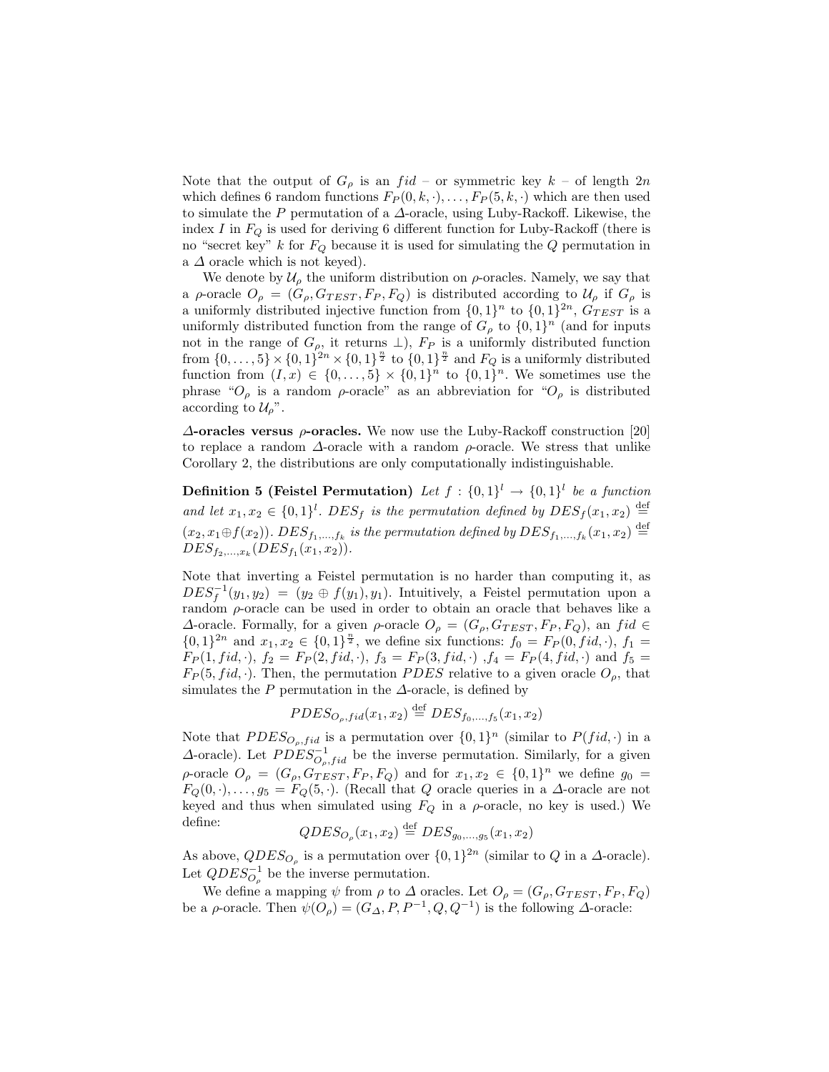Note that the output of  $G_{\rho}$  is an fid – or symmetric key  $k$  – of length 2n which defines 6 random functions  $F_P(0, k, \cdot), \ldots, F_P(5, k, \cdot)$  which are then used to simulate the P permutation of a  $\Delta$ -oracle, using Luby-Rackoff. Likewise, the index I in  $F_Q$  is used for deriving 6 different function for Luby-Rackoff (there is no "secret key"  $k$  for  $F_Q$  because it is used for simulating the  $Q$  permutation in a  $\Delta$  oracle which is not keyed).

We denote by  $\mathcal{U}_o$  the uniform distribution on  $\rho$ -oracles. Namely, we say that a ρ-oracle  $O_\rho = (G_\rho, G_{TEST}, F_P, F_Q)$  is distributed according to  $\mathcal{U}_\rho$  if  $G_\rho$  is a uniformly distributed injective function from  $\{0,1\}^n$  to  $\{0,1\}^{2n}$ ,  $G_{TEST}$  is a uniformly distributed function from the range of  $G_{\rho}$  to  $\{0,1\}^n$  (and for inputs not in the range of  $G_{\rho}$ , it returns  $\perp$ ),  $F_P$  is a uniformly distributed function from  $\{0,\ldots,5\} \times \{0,1\}^{2n} \times \{0,1\}^{2n}$  to  $\{0,1\}^{2n}$  and  $F_Q$  is a uniformly distributed function from  $(I, x) \in \{0, \ldots, 5\} \times \{0, 1\}^n$  to  $\{0, 1\}^n$ . We sometimes use the phrase " $O_\rho$  is a random  $\rho$ -oracle" as an abbreviation for " $O_\rho$  is distributed according to  $\mathcal{U}_{\rho}$ ".

 $\Delta$ -oracles versus  $\rho$ -oracles. We now use the Luby-Rackoff construction [20] to replace a random  $\Delta$ -oracle with a random  $\rho$ -oracle. We stress that unlike Corollary 2, the distributions are only computationally indistinguishable.

**Definition 5 (Feistel Permutation)** Let  $f: \{0,1\}^l \rightarrow \{0,1\}^l$  be a function and let  $x_1, x_2 \in \{0,1\}^l$ . DES<sub>f</sub> is the permutation defined by  $DES_f(x_1, x_2) \stackrel{\text{def}}{=}$  $(x_2, x_1 \oplus f(x_2))$ .  $DES_{f_1,...,f_k}$  is the permutation defined by  $DES_{f_1,...,f_k}(x_1, x_2) \stackrel{\text{def}}{=}$  $DES_{f_2,...,x_k}(DES_{f_1}(x_1,x_2)).$ 

Note that inverting a Feistel permutation is no harder than computing it, as  $DES^{-1}_f(y_1, y_2) = (y_2 \oplus f(y_1), y_1)$ . Intuitively, a Feistel permutation upon a random  $\rho$ -oracle can be used in order to obtain an oracle that behaves like a  $\Delta$ -oracle. Formally, for a given  $\rho$ -oracle  $O_\rho = (G_\rho, G_{TEST}, F_P, F_Q)$ , an fid  $\in$  $\{0,1\}^{2n}$  and  $x_1, x_2 \in \{0,1\}^{\frac{n}{2}}$ , we define six functions:  $f_0 = F_P(0, fid, \cdot), f_1 =$  $F_P(1, fid, \cdot), f_2 = F_P(2, fid, \cdot), f_3 = F_P(3, fid, \cdot), f_4 = F_P(4, fid, \cdot)$  and  $f_5 =$  $F_P(5, fid, \cdot)$ . Then, the permutation *PDES* relative to a given oracle  $O_\rho$ , that simulates the P permutation in the  $\Delta$ -oracle, is defined by

$$
PDES_{O_{\rho}, fid}(x_1, x_2) \stackrel{\text{def}}{=} DES_{f_0, ..., f_5}(x_1, x_2)
$$

Note that  $PDES_{O_{\rho}, fid}$  is a permutation over  $\{0,1\}^n$  (similar to  $P(fid, \cdot)$  in a  $\Delta$ -oracle). Let  $PDES^{-1}_{O_{\rho},fid}$  be the inverse permutation. Similarly, for a given  $\rho$ -oracle  $O_\rho = (G_\rho, G_{TEST}, F_P, F_Q)$  and for  $x_1, x_2 \in \{0, 1\}^n$  we define  $g_0 =$  $F_Q(0, \cdot), \ldots, g_5 = F_Q(5, \cdot)$ . (Recall that Q oracle queries in a  $\Delta$ -oracle are not keyed and thus when simulated using  $F_Q$  in a  $\rho$ -oracle, no key is used.) We define:

$$
QDES_{O_{\rho}}(x_1, x_2) \stackrel{\text{def}}{=} DES_{g_0, ..., g_5}(x_1, x_2)
$$

As above,  $QDES_{O_{\rho}}$  is a permutation over  $\{0,1\}^{2n}$  (similar to  $Q$  in a  $\Delta$ -oracle). Let  $QDES^{-1}_{O_{\rho}}$  be the inverse permutation.

We define a mapping  $\psi$  from  $\rho$  to  $\Delta$  oracles. Let  $O_\rho = (G_\rho, G_{TEST}, F_P, F_Q)$ be a  $\rho$ -oracle. Then  $\psi(O_{\rho}) = (G_{\Delta}, P, P^{-1}, Q, Q^{-1})$  is the following  $\Delta$ -oracle: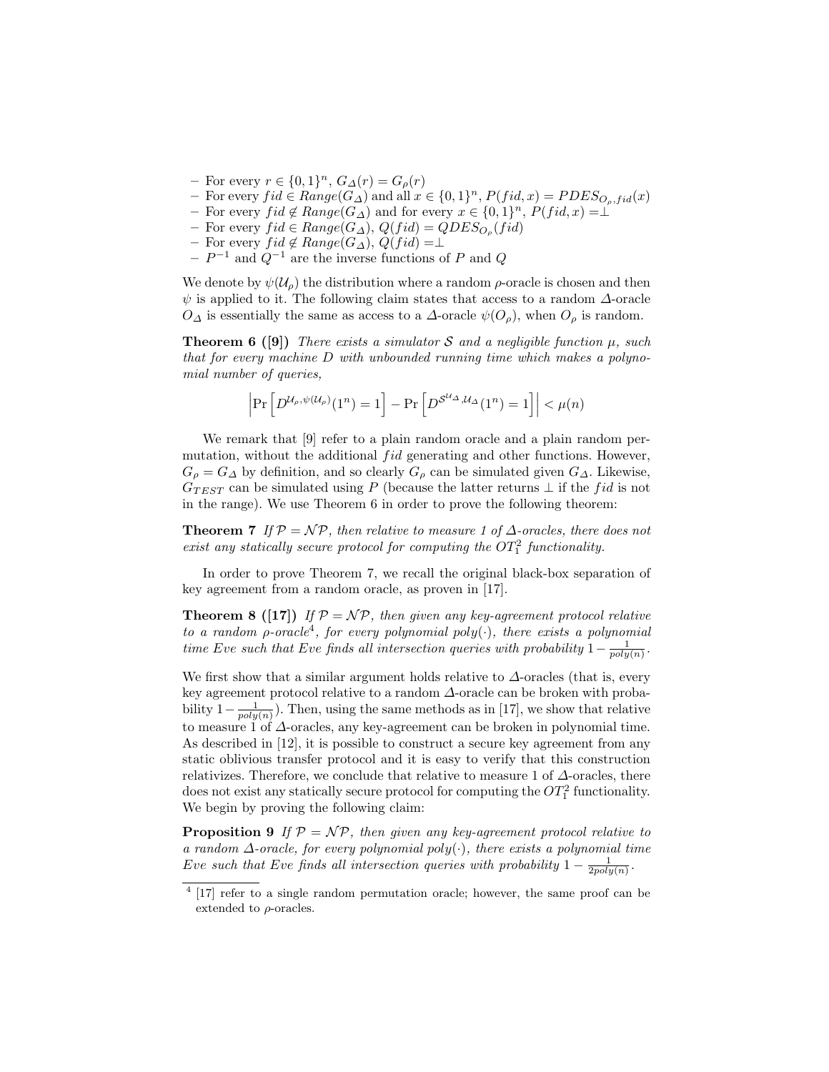- For every  $r \in \{0,1\}^n$ ,  $G_{\Delta}(r) = G_{\rho}(r)$
- For every  $fid \in Range(G_{\Delta})$  and all  $x \in \{0,1\}^n$ ,  $P(fid, x) = PDES_{O_{\rho}, fid}(x)$
- For every  $fid \notin Range(G_{\Delta})$  and for every  $x \in \{0,1\}^n$ ,  $P(fid, x) = \perp$
- For every  $fid \in Range(G_{\Delta}), Q(fid) = QDES_{O_{\rho}}(fid)$
- For every  $fid \notin Range(G_{\Delta}), Q(fid) = \perp$
- $P^{-1}$  and  $Q^{-1}$  are the inverse functions of P and Q

We denote by  $\psi(\mathcal{U}_{\rho})$  the distribution where a random  $\rho$ -oracle is chosen and then  $\psi$  is applied to it. The following claim states that access to a random  $\Delta$ -oracle  $O_{\Delta}$  is essentially the same as access to a  $\Delta$ -oracle  $\psi(O_{\rho})$ , when  $O_{\rho}$  is random.

**Theorem 6 ([9])** There exists a simulator S and a negligible function  $\mu$ , such that for every machine D with unbounded running time which makes a polynomial number of queries,

$$
\left|\Pr\left[D^{\mathcal{U}_{\rho},\psi(\mathcal{U}_{\rho})}(1^n)=1\right]-\Pr\left[D^{\mathcal{S}^{\mathcal{U}_{\Delta}},\mathcal{U}_{\Delta}}(1^n)=1\right]\right|<\mu(n)
$$

We remark that [9] refer to a plain random oracle and a plain random permutation, without the additional  $f_{id}$  generating and other functions. However,  $G_{\rho} = G_{\Delta}$  by definition, and so clearly  $G_{\rho}$  can be simulated given  $G_{\Delta}$ . Likewise,  $G_{TEST}$  can be simulated using P (because the latter returns  $\perp$  if the fid is not in the range). We use Theorem 6 in order to prove the following theorem:

**Theorem 7** If  $\mathcal{P} = \mathcal{NP}$ , then relative to measure 1 of  $\Delta$ -oracles, there does not exist any statically secure protocol for computing the  $OT_1^2$  functionality.

In order to prove Theorem 7, we recall the original black-box separation of key agreement from a random oracle, as proven in [17].

**Theorem 8** ([17]) If  $P = NP$ , then given any key-agreement protocol relative to a random  $\rho$ -oracle<sup>4</sup>, for every polynomial poly( $\cdot$ ), there exists a polynomial time Eve such that Eve finds all intersection queries with probability  $1 - \frac{1}{poly(n)}$ .

We first show that a similar argument holds relative to  $\Delta$ -oracles (that is, every key agreement protocol relative to a random ∆-oracle can be broken with probability  $1-\frac{1}{poly(n)}$ ). Then, using the same methods as in [17], we show that relative to measure 1 of ∆-oracles, any key-agreement can be broken in polynomial time. As described in [12], it is possible to construct a secure key agreement from any static oblivious transfer protocol and it is easy to verify that this construction relativizes. Therefore, we conclude that relative to measure 1 of  $\Delta$ -oracles, there does not exist any statically secure protocol for computing the  $OT_1^2$  functionality. We begin by proving the following claim:

**Proposition 9** If  $\mathcal{P} = \mathcal{NP}$ , then given any key-agreement protocol relative to a random  $\Delta$ -oracle, for every polynomial poly $(\cdot)$ , there exists a polynomial time Eve such that Eve finds all intersection queries with probability  $1 - \frac{1}{2\text{poly}(n)}$ .

<sup>&</sup>lt;sup>4</sup> [17] refer to a single random permutation oracle; however, the same proof can be extended to  $\rho$ -oracles.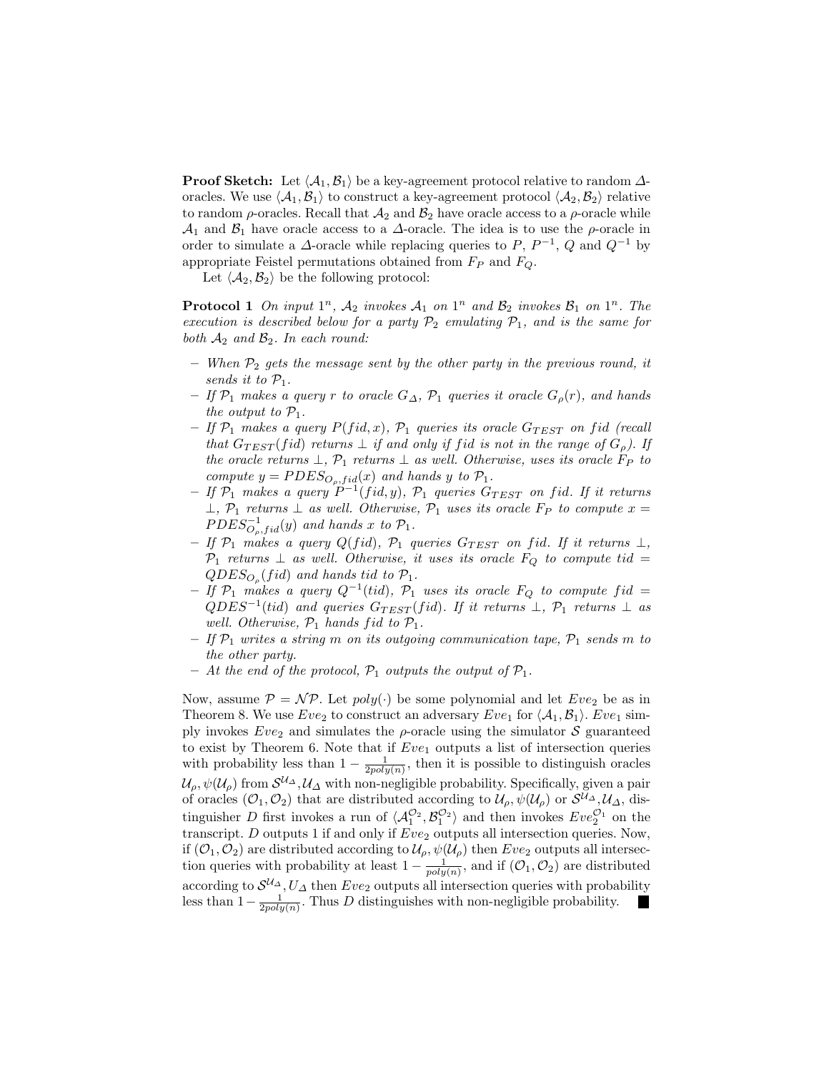**Proof Sketch:** Let  $\langle A_1, B_1 \rangle$  be a key-agreement protocol relative to random  $\Delta$ oracles. We use  $\langle A_1, B_1 \rangle$  to construct a key-agreement protocol  $\langle A_2, B_2 \rangle$  relative to random  $\rho$ -oracles. Recall that  $\mathcal{A}_2$  and  $\mathcal{B}_2$  have oracle access to a  $\rho$ -oracle while  $\mathcal{A}_1$  and  $\mathcal{B}_1$  have oracle access to a  $\Delta$ -oracle. The idea is to use the  $\rho$ -oracle in order to simulate a  $\Delta$ -oracle while replacing queries to P,  $P^{-1}$ , Q and  $Q^{-1}$  by appropriate Feistel permutations obtained from  $F_P$  and  $F_Q$ .

Let  $\langle A_2, B_2 \rangle$  be the following protocol:

**Protocol 1** On input  $1^n$ ,  $A_2$  invokes  $A_1$  on  $1^n$  and  $B_2$  invokes  $B_1$  on  $1^n$ . The execution is described below for a party  $P_2$  emulating  $P_1$ , and is the same for both  $A_2$  and  $B_2$ . In each round:

- When  $\mathcal{P}_2$  gets the message sent by the other party in the previous round, it sends it to  $\mathcal{P}_1$ .
- If  $\mathcal{P}_1$  makes a query r to oracle  $G_{\Delta}$ ,  $\mathcal{P}_1$  queries it oracle  $G_{\rho}(r)$ , and hands the output to  $P_1$ .
- If  $\mathcal{P}_1$  makes a query  $P(fid, x)$ ,  $\mathcal{P}_1$  queries its oracle  $G_{TEST}$  on fid (recall that  $G_{TEST}(fid)$  returns  $\perp$  if and only if fid is not in the range of  $G_{\rho}$ ). If the oracle returns  $\perp$ ,  $\mathcal{P}_1$  returns  $\perp$  as well. Otherwise, uses its oracle  $F_P$  to compute  $y = PDES_{O_0, fid}(x)$  and hands y to  $P_1$ .
- − If  $\mathcal{P}_1$  makes a query  $\overset{\sim}{P}^{-1}(fid, y), \; \mathcal{P}_1$  queries  $G_{TEST}$  on fid. If it returns  $\perp$ ,  $\mathcal{P}_1$  returns  $\perp$  as well. Otherwise,  $\mathcal{P}_1$  uses its oracle  $F_P$  to compute  $x =$  $PDES^{-1}_{O_{\rho},fid}(y)$  and hands x to  $\mathcal{P}_1$ .
- If  $\mathcal{P}_1$  makes a query  $Q(fid)$ ,  $\mathcal{P}_1$  queries  $G_{TEST}$  on fid. If it returns ⊥,  $\mathcal{P}_1$  returns  $\perp$  as well. Otherwise, it uses its oracle  $F_Q$  to compute tid =  $QDES_{O_{\rho}}(fid)$  and hands tid to  $\mathcal{P}_1$ .
- $-$  If  $\mathcal{P}_1$  makes a query  $Q^{-1}(tid)$ ,  $\mathcal{P}_1$  uses its oracle  $F_Q$  to compute fid =  $QDES^{-1}(tid)$  and queries  $G_{TEST}(fid)$ . If it returns  $\bot$ ,  $\mathcal{P}_1$  returns  $\bot$  as well. Otherwise,  $\mathcal{P}_1$  hands fid to  $\mathcal{P}_1$ .
- If  $\mathcal{P}_1$  writes a string m on its outgoing communication tape,  $\mathcal{P}_1$  sends m to the other party.
- At the end of the protocol,  $\mathcal{P}_1$  outputs the output of  $\mathcal{P}_1$ .

Now, assume  $\mathcal{P} = \mathcal{NP}$ . Let  $poly(\cdot)$  be some polynomial and let  $Eve_2$  be as in Theorem 8. We use  $Eve_2$  to construct an adversary  $Eve_1$  for  $\langle A_1, B_1 \rangle$ . Eve<sub>1</sub> simply invokes  $Eve_2$  and simulates the *ρ*-oracle using the simulator S guaranteed to exist by Theorem 6. Note that if  $Eve_1$  outputs a list of intersection queries with probability less than  $1 - \frac{1}{2\text{poly}(n)}$ , then it is possible to distinguish oracles  $\mathcal{U}_\rho, \psi(\mathcal{U}_\rho)$  from  $\mathcal{S}^{\mathcal{U}_\Delta}, \mathcal{U}_\Delta$  with non-negligible probability. Specifically, given a pair of oracles  $(\mathcal{O}_1, \mathcal{O}_2)$  that are distributed according to  $\mathcal{U}_{\rho}, \psi(\mathcal{U}_{\rho})$  or  $\mathcal{S}^{\mathcal{U}_{\Delta}}, \mathcal{U}_{\Delta}$ , distinguisher D first invokes a run of  $\langle A_1^{O_2}, B_1^{O_2} \rangle$  and then invokes  $Eve_2^{O_1}$  on the transcript.  $D$  outputs 1 if and only if  $Eve_2$  outputs all intersection queries. Now, if  $(0, 0, 0)$  are distributed according to  $\mathcal{U}_{\rho}, \psi(\mathcal{U}_{\rho})$  then Eve<sub>2</sub> outputs all intersection queries with probability at least  $1 - \frac{1}{poly(n)}$ , and if  $(\mathcal{O}_1, \mathcal{O}_2)$  are distributed according to  $\mathcal{S}^{\mathcal{U}_{\Delta}}, U_{\Delta}$  then  $Eve_2$  outputs all intersection queries with probability less than  $1 - \frac{1}{2poly(n)}$ . Thus D distinguishes with non-negligible probability.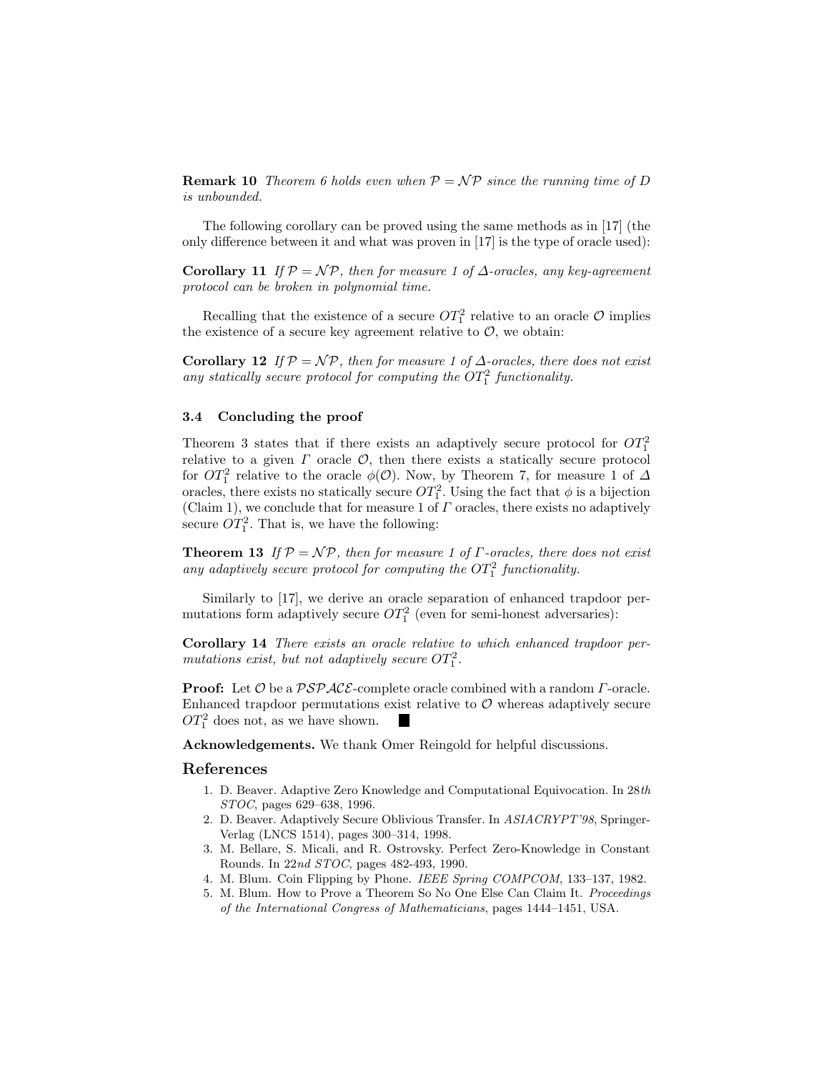**Remark 10** Theorem 6 holds even when  $P = NP$  since the running time of D is unbounded.

The following corollary can be proved using the same methods as in [17] (the only difference between it and what was proven in  $|17|$  is the type of oracle used):

Corollary 11 If  $\mathcal{P} = \mathcal{NP}$ , then for measure 1 of  $\Delta$ -oracles, any key-agreement protocol can be broken in polynomial time.

Recalling that the existence of a secure  $OT_1^2$  relative to an oracle  $\mathcal O$  implies the existence of a secure key agreement relative to  $\mathcal{O}$ , we obtain:

Corollary 12 If  $P = NP$ , then for measure 1 of  $\Delta$ -oracles, there does not exist any statically secure protocol for computing the  $OT_1^2$  functionality.

#### 3.4 Concluding the proof

Theorem 3 states that if there exists an adaptively secure protocol for  $OT_1^2$ relative to a given  $\Gamma$  oracle  $\mathcal{O}$ , then there exists a statically secure protocol for  $OT_1^2$  relative to the oracle  $\phi(\mathcal{O})$ . Now, by Theorem 7, for measure 1 of  $\Delta$ oracles, there exists no statically secure  $OT_1^2$ . Using the fact that  $\phi$  is a bijection (Claim 1), we conclude that for measure 1 of  $\Gamma$  oracles, there exists no adaptively secure  $OT_1^2$ . That is, we have the following:

**Theorem 13** If  $P = NP$ , then for measure 1 of Γ-oracles, there does not exist any adaptively secure protocol for computing the  $OT_1^2$  functionality.

Similarly to [17], we derive an oracle separation of enhanced trapdoor permutations form adaptively secure  $OT_1^2$  (even for semi-honest adversaries):

Corollary 14 There exists an oracle relative to which enhanced trapdoor permutations exist, but not adaptively secure  $OT_1^2$ .

**Proof:** Let  $\mathcal O$  be a  $\mathcal{PSPACE}$ -complete oracle combined with a random  $\Gamma$ -oracle. Enhanced trapdoor permutations exist relative to  $O$  whereas adaptively secure  $OT<sub>1</sub><sup>2</sup>$  does not, as we have shown.

Acknowledgements. We thank Omer Reingold for helpful discussions.

#### References

- 1. D. Beaver. Adaptive Zero Knowledge and Computational Equivocation. In 28th STOC, pages 629–638, 1996.
- 2. D. Beaver. Adaptively Secure Oblivious Transfer. In ASIACRYPT'98, Springer-Verlag (LNCS 1514), pages 300–314, 1998.
- 3. M. Bellare, S. Micali, and R. Ostrovsky. Perfect Zero-Knowledge in Constant Rounds. In 22nd STOC, pages 482-493, 1990.
- 4. M. Blum. Coin Flipping by Phone. IEEE Spring COMPCOM, 133–137, 1982.
- 5. M. Blum. How to Prove a Theorem So No One Else Can Claim It. Proceedings of the International Congress of Mathematicians, pages 1444–1451, USA.